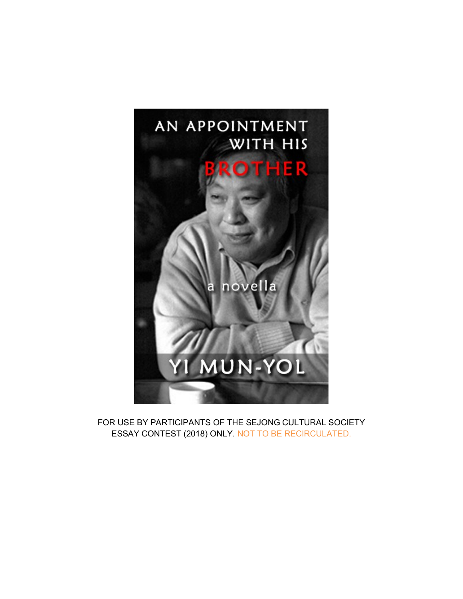

FOR USE BY PARTICIPANTS OF THE SEJONG CULTURAL SOCIETY ESSAY CONTEST (2018) ONLY. NOT TO BE RECIRCULATED.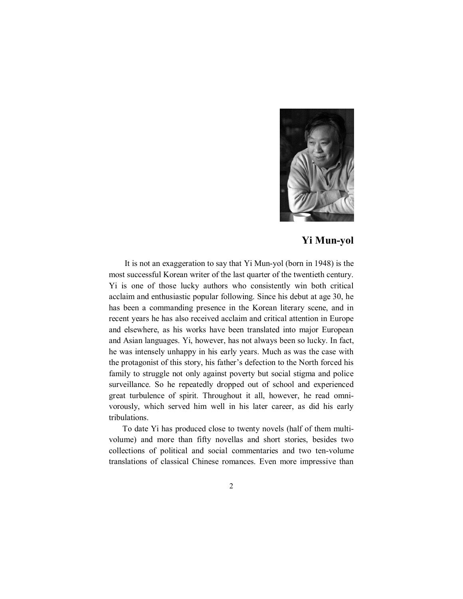

## **Yi Mun-yol**

It is not an exaggeration to say that Yi Mun-yol (born in 1948) is the most successful Korean writer of the last quarter of the twentieth century. Yi is one of those lucky authors who consistently win both critical acclaim and enthusiastic popular following. Since his debut at age 30, he has been a commanding presence in the Korean literary scene, and in recent years he has also received acclaim and critical attention in Europe and elsewhere, as his works have been translated into major European and Asian languages. Yi, however, has not always been so lucky. In fact, he was intensely unhappy in his early years. Much as was the case with the protagonist of this story, his father's defection to the North forced his family to struggle not only against poverty but social stigma and police surveillance. So he repeatedly dropped out of school and experienced great turbulence of spirit. Throughout it all, however, he read omnivorously, which served him well in his later career, as did his early tribulations.

To date Yi has produced close to twenty novels (half of them multivolume) and more than fifty novellas and short stories, besides two collections of political and social commentaries and two ten-volume translations of classical Chinese romances. Even more impressive than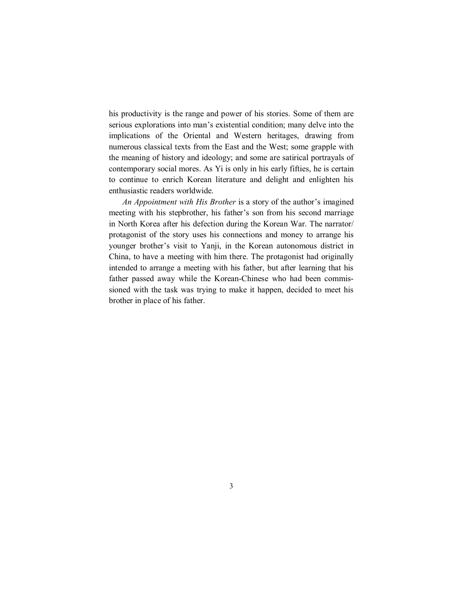his productivity is the range and power of his stories. Some of them are serious explorations into man's existential condition; many delve into the implications of the Oriental and Western heritages, drawing from numerous classical texts from the East and the West; some grapple with the meaning of history and ideology; and some are satirical portrayals of contemporary social mores. As Yi is only in his early fifties, he is certain to continue to enrich Korean literature and delight and enlighten his enthusiastic readers worldwide.

*An Appointment with His Brother* is a story of the author's imagined meeting with his stepbrother, his father's son from his second marriage in North Korea after his defection during the Korean War. The narrator/ protagonist of the story uses his connections and money to arrange his younger brother's visit to Yanji, in the Korean autonomous district in China, to have a meeting with him there. The protagonist had originally intended to arrange a meeting with his father, but after learning that his father passed away while the Korean-Chinese who had been commissioned with the task was trying to make it happen, decided to meet his brother in place of his father.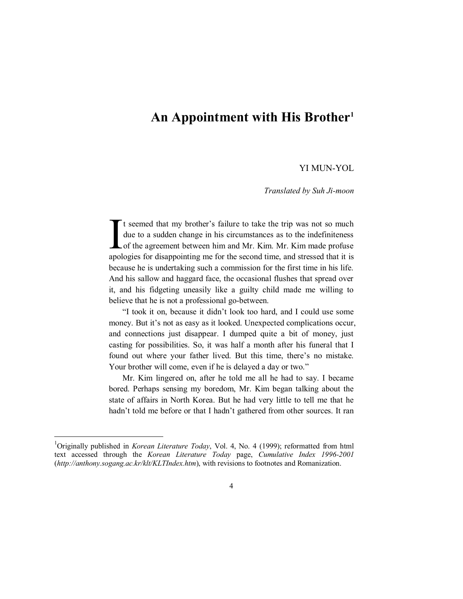## **An Appointment with His Brother<sup>1</sup>**

## YI MUN-YOL

*Translated by Suh Ji-moon*

t seemed that my brother's failure to take the trip was not so much due to a sudden change in his circumstances as to the indefiniteness of the agreement between him and Mr. Kim. Mr. Kim made profuse apologies for disappointing me for the second time, and stressed that it is because he is undertaking such a commission for the first time in his life. And his sallow and haggard face, the occasional flushes that spread over it, and his fidgeting uneasily like a guilty child made me willing to believe that he is not a professional go-between. I<br>and

"I took it on, because it didn't look too hard, and I could use some money. But it's not as easy as it looked. Unexpected complications occur, and connections just disappear. I dumped quite a bit of money, just casting for possibilities. So, it was half a month after his funeral that I found out where your father lived. But this time, there's no mistake. Your brother will come, even if he is delayed a day or two."

Mr. Kim lingered on, after he told me all he had to say. I became bored. Perhaps sensing my boredom, Mr. Kim began talking about the state of affairs in North Korea. But he had very little to tell me that he hadn't told me before or that I hadn't gathered from other sources. It ran

<sup>1</sup>Originally published in *Korean Literature Today*, Vol. 4, No. 4 (1999); reformatted from html text accessed through the *Korean Literature Today* page, *Cumulative Index 1996-2001* (*http://anthony.sogang.ac.kr/klt/KLTIndex.htm*), with revisions to footnotes and Romanization.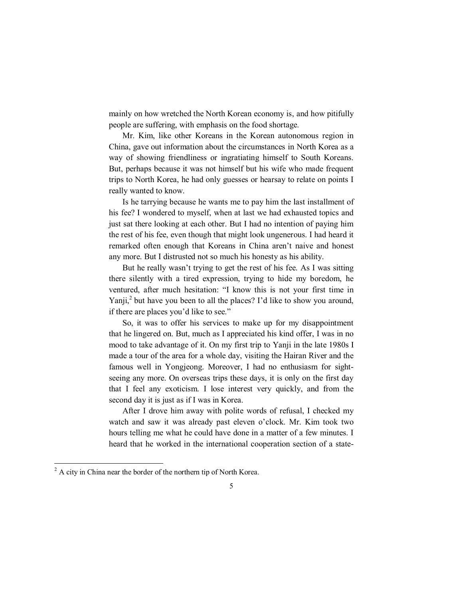mainly on how wretched the North Korean economy is, and how pitifully people are suffering, with emphasis on the food shortage.

Mr. Kim, like other Koreans in the Korean autonomous region in China, gave out information about the circumstances in North Korea as a way of showing friendliness or ingratiating himself to South Koreans. But, perhaps because it was not himself but his wife who made frequent trips to North Korea, he had only guesses or hearsay to relate on points I really wanted to know.

Is he tarrying because he wants me to pay him the last installment of his fee? I wondered to myself, when at last we had exhausted topics and just sat there looking at each other. But I had no intention of paying him the rest of his fee, even though that might look ungenerous. I had heard it remarked often enough that Koreans in China aren't naive and honest any more. But I distrusted not so much his honesty as his ability.

But he really wasn't trying to get the rest of his fee. As I was sitting there silently with a tired expression, trying to hide my boredom, he ventured, after much hesitation: "I know this is not your first time in Yanji,<sup>2</sup> but have you been to all the places? I'd like to show you around, if there are places you'd like to see."

So, it was to offer his services to make up for my disappointment that he lingered on. But, much as I appreciated his kind offer, I was in no mood to take advantage of it. On my first trip to Yanji in the late 1980s I made a tour of the area for a whole day, visiting the Hairan River and the famous well in Yongjeong. Moreover, I had no enthusiasm for sightseeing any more. On overseas trips these days, it is only on the first day that I feel any exoticism. I lose interest very quickly, and from the second day it is just as if I was in Korea.

After I drove him away with polite words of refusal, I checked my watch and saw it was already past eleven o'clock. Mr. Kim took two hours telling me what he could have done in a matter of a few minutes. I heard that he worked in the international cooperation section of a state-

 $2 \text{ A city in China near the border of the northern tip of North Korea.}$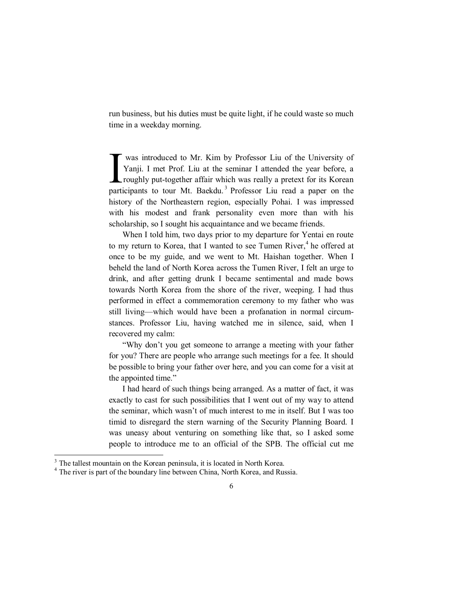run business, but his duties must be quite light, if he could waste so much time in a weekday morning.

was introduced to Mr. Kim by Professor Liu of the University of Yanji. I met Prof. Liu at the seminar I attended the year before, a roughly put-together affair which was really a pretext for its Korean participants to tour Mt. Baekdu.<sup>3</sup> Professor Liu read a paper on the history of the Northeastern region, especially Pohai. I was impressed with his modest and frank personality even more than with his scholarship, so I sought his acquaintance and we became friends. I

When I told him, two days prior to my departure for Yentai en route to my return to Korea, that I wanted to see Tumen River,<sup>4</sup> he offered at once to be my guide, and we went to Mt. Haishan together. When I beheld the land of North Korea across the Tumen River, I felt an urge to drink, and after getting drunk I became sentimental and made bows towards North Korea from the shore of the river, weeping. I had thus performed in effect a commemoration ceremony to my father who was still living—which would have been a profanation in normal circumstances. Professor Liu, having watched me in silence, said, when I recovered my calm:

"Why don't you get someone to arrange a meeting with your father for you? There are people who arrange such meetings for a fee. It should be possible to bring your father over here, and you can come for a visit at the appointed time."

I had heard of such things being arranged. As a matter of fact, it was exactly to cast for such possibilities that I went out of my way to attend the seminar, which wasn't of much interest to me in itself. But I was too timid to disregard the stern warning of the Security Planning Board. I was uneasy about venturing on something like that, so I asked some people to introduce me to an official of the SPB. The official cut me

 $3$  The tallest mountain on the Korean peninsula, it is located in North Korea.

<sup>&</sup>lt;sup>4</sup> The river is part of the boundary line between China, North Korea, and Russia.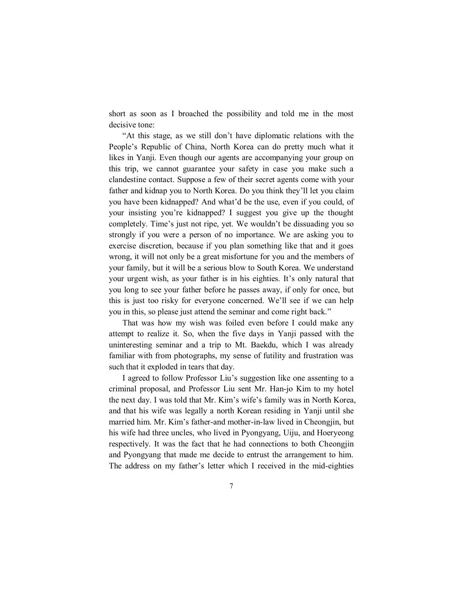short as soon as I broached the possibility and told me in the most decisive tone:

"At this stage, as we still don't have diplomatic relations with the People's Republic of China, North Korea can do pretty much what it likes in Yanji. Even though our agents are accompanying your group on this trip, we cannot guarantee your safety in case you make such a clandestine contact. Suppose a few of their secret agents come with your father and kidnap you to North Korea. Do you think they'll let you claim you have been kidnapped? And what'd be the use, even if you could, of your insisting you're kidnapped? I suggest you give up the thought completely. Time's just not ripe, yet. We wouldn't be dissuading you so strongly if you were a person of no importance. We are asking you to exercise discretion, because if you plan something like that and it goes wrong, it will not only be a great misfortune for you and the members of your family, but it will be a serious blow to South Korea. We understand your urgent wish, as your father is in his eighties. It's only natural that you long to see your father before he passes away, if only for once, but this is just too risky for everyone concerned. We'll see if we can help you in this, so please just attend the seminar and come right back."

That was how my wish was foiled even before I could make any attempt to realize it. So, when the five days in Yanji passed with the uninteresting seminar and a trip to Mt. Baekdu, which I was already familiar with from photographs, my sense of futility and frustration was such that it exploded in tears that day.

I agreed to follow Professor Liu's suggestion like one assenting to a criminal proposal, and Professor Liu sent Mr. Han-jo Kim to my hotel the next day. I was told that Mr. Kim's wife's family was in North Korea, and that his wife was legally a north Korean residing in Yanji until she married him. Mr. Kim's father-and mother-in-law lived in Cheongjin, but his wife had three uncles, who lived in Pyongyang, Uiju, and Hoeryeong respectively. It was the fact that he had connections to both Cheongjin and Pyongyang that made me decide to entrust the arrangement to him. The address on my father's letter which I received in the mid-eighties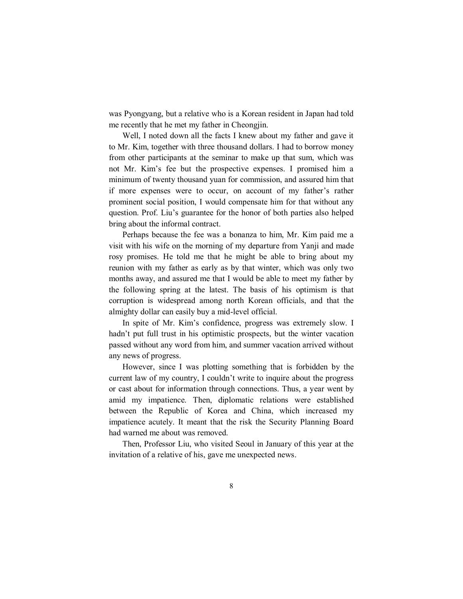was Pyongyang, but a relative who is a Korean resident in Japan had told me recently that he met my father in Cheongjin.

Well, I noted down all the facts I knew about my father and gave it to Mr. Kim, together with three thousand dollars. I had to borrow money from other participants at the seminar to make up that sum, which was not Mr. Kim's fee but the prospective expenses. I promised him a minimum of twenty thousand yuan for commission, and assured him that if more expenses were to occur, on account of my father's rather prominent social position, I would compensate him for that without any question. Prof. Liu's guarantee for the honor of both parties also helped bring about the informal contract.

Perhaps because the fee was a bonanza to him, Mr. Kim paid me a visit with his wife on the morning of my departure from Yanji and made rosy promises. He told me that he might be able to bring about my reunion with my father as early as by that winter, which was only two months away, and assured me that I would be able to meet my father by the following spring at the latest. The basis of his optimism is that corruption is widespread among north Korean officials, and that the almighty dollar can easily buy a mid-level official.

In spite of Mr. Kim's confidence, progress was extremely slow. I hadn't put full trust in his optimistic prospects, but the winter vacation passed without any word from him, and summer vacation arrived without any news of progress.

However, since I was plotting something that is forbidden by the current law of my country, I couldn't write to inquire about the progress or cast about for information through connections. Thus, a year went by amid my impatience. Then, diplomatic relations were established between the Republic of Korea and China, which increased my impatience acutely. It meant that the risk the Security Planning Board had warned me about was removed.

Then, Professor Liu, who visited Seoul in January of this year at the invitation of a relative of his, gave me unexpected news.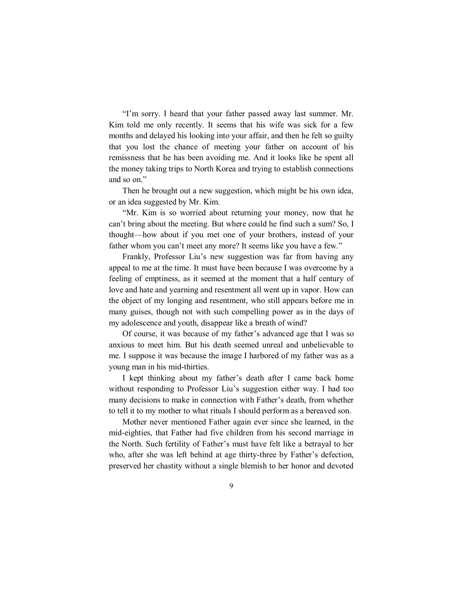"I'm sorry. I heard that your father passed away last summer. Mr. Kim told me only recently. It seems that his wife was sick for a few months and delayed his looking into your affair, and then he felt so guilty that you lost the chance of meeting your father on account of his remissness that he has been avoiding me. And it looks like he spent all the money taking trips to North Korea and trying to establish connections and so on."

Then he brought out a new suggestion, which might be his own idea, or an idea suggested by Mr. Kim.

"Mr. Kim is so worried about returning your money, now that he can't bring about the meeting. But where could he find such a sum? So, I thought—how about if you met one of your brothers, instead of your father whom you can't meet any more? It seems like you have a few."

Frankly, Professor Liu's new suggestion was far from having any appeal to me at the time. It must have been because I was overcome by a feeling of emptiness, as it seemed at the moment that a half century of love and hate and yearning and resentment all went up in vapor. How can the object of my longing and resentment, who still appears before me in many guises, though not with such compelling power as in the days of my adolescence and youth, disappear like a breath of wind?

Of course, it was because of my father's advanced age that I was so anxious to meet him. But his death seemed unreal and unbelievable to me. I suppose it was because the image I harbored of my father was as a young man in his mid-thirties.

I kept thinking about my father's death after I came back home without responding to Professor Liu's suggestion either way. I had too many decisions to make in connection with Father's death, from whether to tell it to my mother to what rituals I should perform as a bereaved son.

Mother never mentioned Father again ever since she learned, in the mid-eighties, that Father had five children from his second marriage in the North. Such fertility of Father's must have felt like a betrayal to her who, after she was left behind at age thirty-three by Father's defection, preserved her chastity without a single blemish to her honor and devoted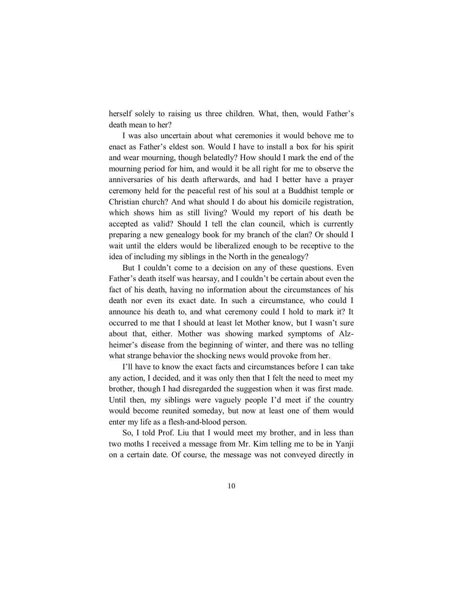herself solely to raising us three children. What, then, would Father's death mean to her?

I was also uncertain about what ceremonies it would behove me to enact as Father's eldest son. Would I have to install a box for his spirit and wear mourning, though belatedly? How should I mark the end of the mourning period for him, and would it be all right for me to observe the anniversaries of his death afterwards, and had I better have a prayer ceremony held for the peaceful rest of his soul at a Buddhist temple or Christian church? And what should I do about his domicile registration, which shows him as still living? Would my report of his death be accepted as valid? Should I tell the clan council, which is currently preparing a new genealogy book for my branch of the clan? Or should I wait until the elders would be liberalized enough to be receptive to the idea of including my siblings in the North in the genealogy?

But I couldn't come to a decision on any of these questions. Even Father's death itself was hearsay, and I couldn't be certain about even the fact of his death, having no information about the circumstances of his death nor even its exact date. In such a circumstance, who could I announce his death to, and what ceremony could I hold to mark it? It occurred to me that I should at least let Mother know, but I wasn't sure about that, either. Mother was showing marked symptoms of Alzheimer's disease from the beginning of winter, and there was no telling what strange behavior the shocking news would provoke from her.

I'll have to know the exact facts and circumstances before I can take any action, I decided, and it was only then that I felt the need to meet my brother, though I had disregarded the suggestion when it was first made. Until then, my siblings were vaguely people I'd meet if the country would become reunited someday, but now at least one of them would enter my life as a flesh-and-blood person.

So, I told Prof. Liu that I would meet my brother, and in less than two moths I received a message from Mr. Kim telling me to be in Yanji on a certain date. Of course, the message was not conveyed directly in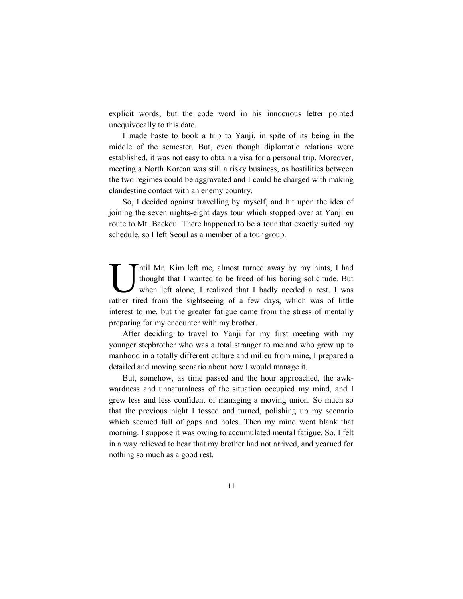explicit words, but the code word in his innocuous letter pointed unequivocally to this date.

I made haste to book a trip to Yanji, in spite of its being in the middle of the semester. But, even though diplomatic relations were established, it was not easy to obtain a visa for a personal trip. Moreover, meeting a North Korean was still a risky business, as hostilities between the two regimes could be aggravated and I could be charged with making clandestine contact with an enemy country.

So, I decided against travelling by myself, and hit upon the idea of joining the seven nights-eight days tour which stopped over at Yanji en route to Mt. Baekdu. There happened to be a tour that exactly suited my schedule, so I left Seoul as a member of a tour group.

ntil Mr. Kim left me, almost turned away by my hints, I had thought that I wanted to be freed of his boring solicitude. But when left alone, I realized that I badly needed a rest. I was The sight Mr. Kim left me, almost turned away by my hints, I had thought that I wanted to be freed of his boring solicitude. But when left alone, I realized that I badly needed a rest. I was rather tired from the sightseei interest to me, but the greater fatigue came from the stress of mentally preparing for my encounter with my brother.

After deciding to travel to Yanji for my first meeting with my younger stepbrother who was a total stranger to me and who grew up to manhood in a totally different culture and milieu from mine, I prepared a detailed and moving scenario about how I would manage it.

But, somehow, as time passed and the hour approached, the awkwardness and unnaturalness of the situation occupied my mind, and I grew less and less confident of managing a moving union. So much so that the previous night I tossed and turned, polishing up my scenario which seemed full of gaps and holes. Then my mind went blank that morning. I suppose it was owing to accumulated mental fatigue. So, I felt in a way relieved to hear that my brother had not arrived, and yearned for nothing so much as a good rest.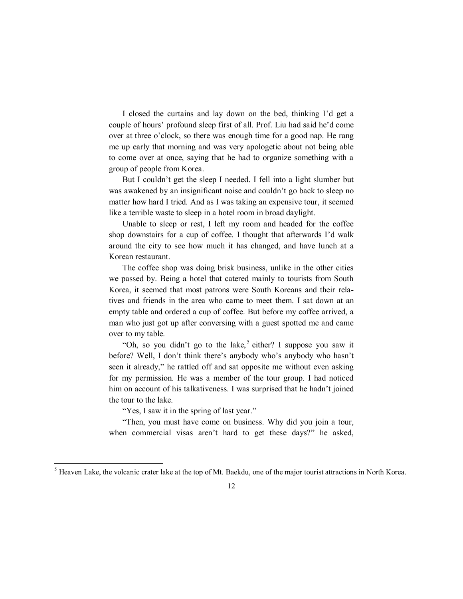I closed the curtains and lay down on the bed, thinking I'd get a couple of hours' profound sleep first of all. Prof. Liu had said he'd come over at three o'clock, so there was enough time for a good nap. He rang me up early that morning and was very apologetic about not being able to come over at once, saying that he had to organize something with a group of people from Korea.

But I couldn't get the sleep I needed. I fell into a light slumber but was awakened by an insignificant noise and couldn't go back to sleep no matter how hard I tried. And as I was taking an expensive tour, it seemed like a terrible waste to sleep in a hotel room in broad daylight.

Unable to sleep or rest, I left my room and headed for the coffee shop downstairs for a cup of coffee. I thought that afterwards I'd walk around the city to see how much it has changed, and have lunch at a Korean restaurant.

The coffee shop was doing brisk business, unlike in the other cities we passed by. Being a hotel that catered mainly to tourists from South Korea, it seemed that most patrons were South Koreans and their relatives and friends in the area who came to meet them. I sat down at an empty table and ordered a cup of coffee. But before my coffee arrived, a man who just got up after conversing with a guest spotted me and came over to my table.

"Oh, so you didn't go to the lake,<sup>5</sup> either? I suppose you saw it before? Well, I don't think there's anybody who's anybody who hasn't seen it already," he rattled off and sat opposite me without even asking for my permission. He was a member of the tour group. I had noticed him on account of his talkativeness. I was surprised that he hadn't joined the tour to the lake.

"Yes, I saw it in the spring of last year."

 $\overline{a}$ 

"Then, you must have come on business. Why did you join a tour, when commercial visas aren't hard to get these days?" he asked,

<sup>&</sup>lt;sup>5</sup> Heaven Lake, the volcanic crater lake at the top of Mt. Baekdu, one of the major tourist attractions in North Korea.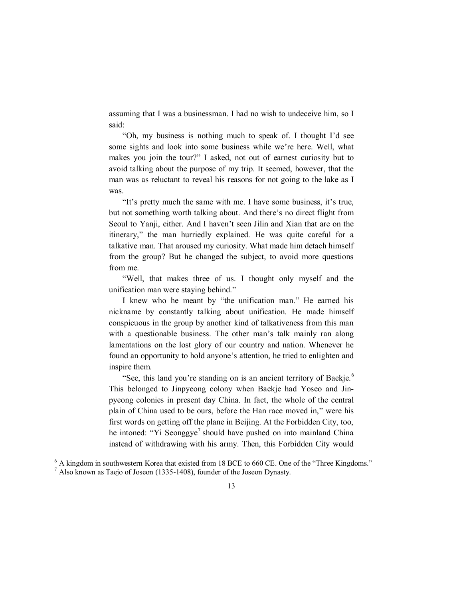assuming that I was a businessman. I had no wish to undeceive him, so I said:

"Oh, my business is nothing much to speak of. I thought I'd see some sights and look into some business while we're here. Well, what makes you join the tour?" I asked, not out of earnest curiosity but to avoid talking about the purpose of my trip. It seemed, however, that the man was as reluctant to reveal his reasons for not going to the lake as I was.

"It's pretty much the same with me. I have some business, it's true, but not something worth talking about. And there's no direct flight from Seoul to Yanji, either. And I haven't seen Jilin and Xian that are on the itinerary," the man hurriedly explained. He was quite careful for a talkative man. That aroused my curiosity. What made him detach himself from the group? But he changed the subject, to avoid more questions from me.

"Well, that makes three of us. I thought only myself and the unification man were staying behind."

I knew who he meant by "the unification man." He earned his nickname by constantly talking about unification. He made himself conspicuous in the group by another kind of talkativeness from this man with a questionable business. The other man's talk mainly ran along lamentations on the lost glory of our country and nation. Whenever he found an opportunity to hold anyone's attention, he tried to enlighten and inspire them.

"See, this land you're standing on is an ancient territory of Baekje.<sup>6</sup> This belonged to Jinpyeong colony when Baekje had Yoseo and Jinpyeong colonies in present day China. In fact, the whole of the central plain of China used to be ours, before the Han race moved in," were his first words on getting off the plane in Beijing. At the Forbidden City, too, he intoned: "Yi Seonggye<sup>7</sup> should have pushed on into mainland China instead of withdrawing with his army. Then, this Forbidden City would

 $6$  A kingdom in southwestern Korea that existed from 18 BCE to 660 CE. One of the "Three Kingdoms."  $<sup>7</sup>$  Also known as Taejo of Joseon (1335-1408), founder of the Joseon Dynasty.</sup>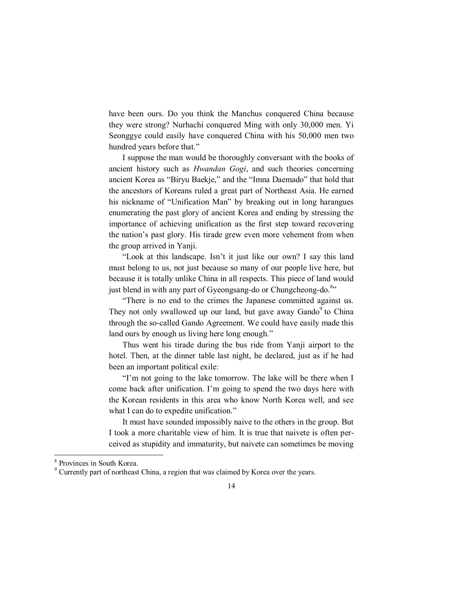have been ours. Do you think the Manchus conquered China because they were strong? Nurhachi conquered Ming with only 30,000 men. Yi Seonggye could easily have conquered China with his 50,000 men two hundred years before that."

I suppose the man would be thoroughly conversant with the books of ancient history such as *Hwandan Gogi*, and such theories concerning ancient Korea as "Biryu Baekje," and the "Imna Daemado" that hold that the ancestors of Koreans ruled a great part of Northeast Asia. He earned his nickname of "Unification Man" by breaking out in long harangues enumerating the past glory of ancient Korea and ending by stressing the importance of achieving unification as the first step toward recovering the nation's past glory. His tirade grew even more vehement from when the group arrived in Yanji.

"Look at this landscape. Isn't it just like our own? I say this land must belong to us, not just because so many of our people live here, but because it is totally unlike China in all respects. This piece of land would just blend in with any part of Gyeongsang-do or Chungcheong-do.<sup>8</sup>"

"There is no end to the crimes the Japanese committed against us. They not only swallowed up our land, but gave away Gando<sup>9</sup> to China through the so-called Gando Agreement. We could have easily made this land ours by enough us living here long enough."

Thus went his tirade during the bus ride from Yanji airport to the hotel. Then, at the dinner table last night, he declared, just as if he had been an important political exile:

"I'm not going to the lake tomorrow. The lake will be there when I come back after unification. I'm going to spend the two days here with the Korean residents in this area who know North Korea well, and see what I can do to expedite unification."

It must have sounded impossibly naive to the others in the group. But I took a more charitable view of him. It is true that naivete is often perceived as stupidity and immaturity, but naivete can sometimes be moving

<sup>&</sup>lt;sup>8</sup> Provinces in South Korea.

<sup>&</sup>lt;sup>9</sup> Currently part of northeast China, a region that was claimed by Korea over the years.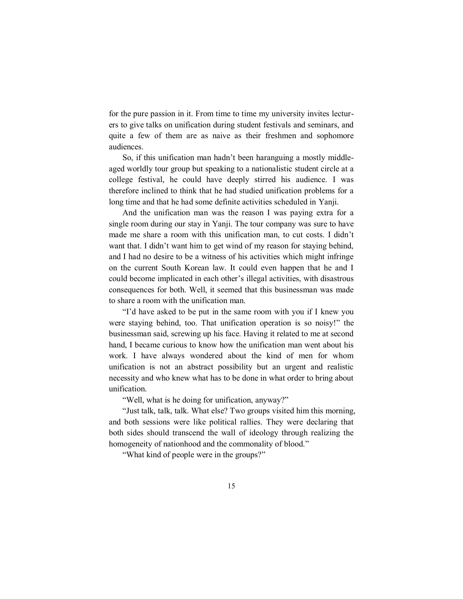for the pure passion in it. From time to time my university invites lecturers to give talks on unification during student festivals and seminars, and quite a few of them are as naive as their freshmen and sophomore audiences.

So, if this unification man hadn't been haranguing a mostly middleaged worldly tour group but speaking to a nationalistic student circle at a college festival, he could have deeply stirred his audience. I was therefore inclined to think that he had studied unification problems for a long time and that he had some definite activities scheduled in Yanji.

And the unification man was the reason I was paying extra for a single room during our stay in Yanji. The tour company was sure to have made me share a room with this unification man, to cut costs. I didn't want that. I didn't want him to get wind of my reason for staying behind, and I had no desire to be a witness of his activities which might infringe on the current South Korean law. It could even happen that he and I could become implicated in each other's illegal activities, with disastrous consequences for both. Well, it seemed that this businessman was made to share a room with the unification man.

"I'd have asked to be put in the same room with you if I knew you were staying behind, too. That unification operation is so noisy!" the businessman said, screwing up his face. Having it related to me at second hand, I became curious to know how the unification man went about his work. I have always wondered about the kind of men for whom unification is not an abstract possibility but an urgent and realistic necessity and who knew what has to be done in what order to bring about unification.

"Well, what is he doing for unification, anyway?"

"Just talk, talk, talk. What else? Two groups visited him this morning, and both sessions were like political rallies. They were declaring that both sides should transcend the wall of ideology through realizing the homogeneity of nationhood and the commonality of blood."

"What kind of people were in the groups?"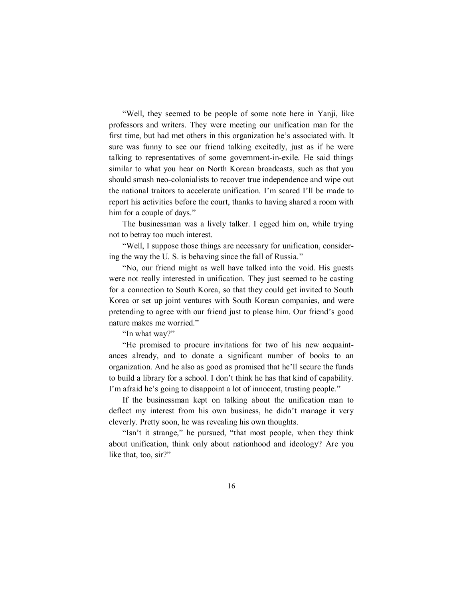"Well, they seemed to be people of some note here in Yanji, like professors and writers. They were meeting our unification man for the first time, but had met others in this organization he's associated with. It sure was funny to see our friend talking excitedly, just as if he were talking to representatives of some government-in-exile. He said things similar to what you hear on North Korean broadcasts, such as that you should smash neo-colonialists to recover true independence and wipe out the national traitors to accelerate unification. I'm scared I'll be made to report his activities before the court, thanks to having shared a room with him for a couple of days."

The businessman was a lively talker. I egged him on, while trying not to betray too much interest.

"Well, I suppose those things are necessary for unification, considering the way the U. S. is behaving since the fall of Russia."

"No, our friend might as well have talked into the void. His guests were not really interested in unification. They just seemed to be casting for a connection to South Korea, so that they could get invited to South Korea or set up joint ventures with South Korean companies, and were pretending to agree with our friend just to please him. Our friend's good nature makes me worried."

"In what way?"

"He promised to procure invitations for two of his new acquaintances already, and to donate a significant number of books to an organization. And he also as good as promised that he'll secure the funds to build a library for a school. I don't think he has that kind of capability. I'm afraid he's going to disappoint a lot of innocent, trusting people."

If the businessman kept on talking about the unification man to deflect my interest from his own business, he didn't manage it very cleverly. Pretty soon, he was revealing his own thoughts.

"Isn't it strange," he pursued, "that most people, when they think about unification, think only about nationhood and ideology? Are you like that, too, sir?"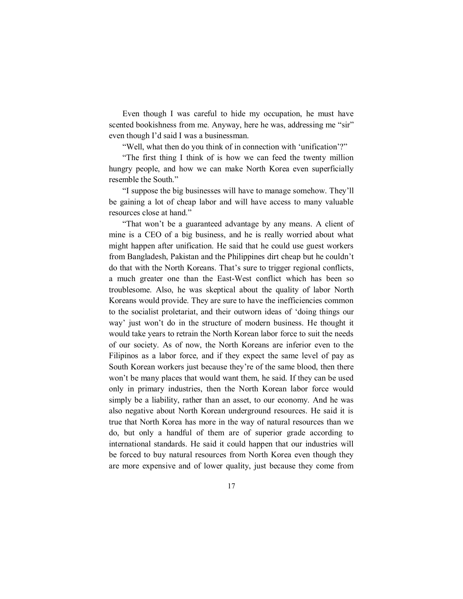Even though I was careful to hide my occupation, he must have scented bookishness from me. Anyway, here he was, addressing me "sir" even though I'd said I was a businessman.

"Well, what then do you think of in connection with 'unification'?"

"The first thing I think of is how we can feed the twenty million hungry people, and how we can make North Korea even superficially resemble the South."

"I suppose the big businesses will have to manage somehow. They'll be gaining a lot of cheap labor and will have access to many valuable resources close at hand."

"That won't be a guaranteed advantage by any means. A client of mine is a CEO of a big business, and he is really worried about what might happen after unification. He said that he could use guest workers from Bangladesh, Pakistan and the Philippines dirt cheap but he couldn't do that with the North Koreans. That's sure to trigger regional conflicts, a much greater one than the East-West conflict which has been so troublesome. Also, he was skeptical about the quality of labor North Koreans would provide. They are sure to have the inefficiencies common to the socialist proletariat, and their outworn ideas of 'doing things our way' just won't do in the structure of modern business. He thought it would take years to retrain the North Korean labor force to suit the needs of our society. As of now, the North Koreans are inferior even to the Filipinos as a labor force, and if they expect the same level of pay as South Korean workers just because they're of the same blood, then there won't be many places that would want them, he said. If they can be used only in primary industries, then the North Korean labor force would simply be a liability, rather than an asset, to our economy. And he was also negative about North Korean underground resources. He said it is true that North Korea has more in the way of natural resources than we do, but only a handful of them are of superior grade according to international standards. He said it could happen that our industries will be forced to buy natural resources from North Korea even though they are more expensive and of lower quality, just because they come from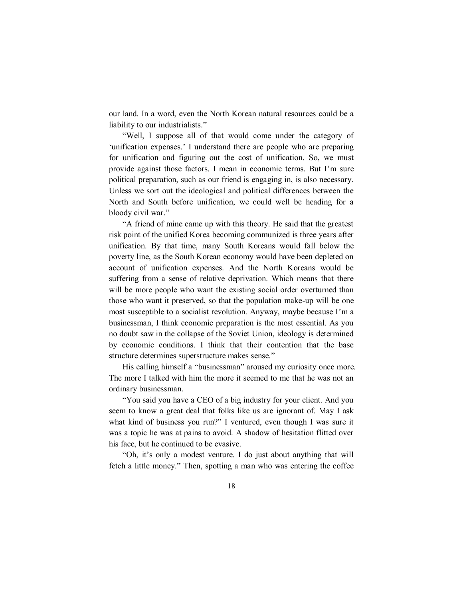our land. In a word, even the North Korean natural resources could be a liability to our industrialists."

"Well, I suppose all of that would come under the category of 'unification expenses.' I understand there are people who are preparing for unification and figuring out the cost of unification. So, we must provide against those factors. I mean in economic terms. But I'm sure political preparation, such as our friend is engaging in, is also necessary. Unless we sort out the ideological and political differences between the North and South before unification, we could well be heading for a bloody civil war."

"A friend of mine came up with this theory. He said that the greatest risk point of the unified Korea becoming communized is three years after unification. By that time, many South Koreans would fall below the poverty line, as the South Korean economy would have been depleted on account of unification expenses. And the North Koreans would be suffering from a sense of relative deprivation. Which means that there will be more people who want the existing social order overturned than those who want it preserved, so that the population make-up will be one most susceptible to a socialist revolution. Anyway, maybe because I'm a businessman, I think economic preparation is the most essential. As you no doubt saw in the collapse of the Soviet Union, ideology is determined by economic conditions. I think that their contention that the base structure determines superstructure makes sense."

His calling himself a "businessman" aroused my curiosity once more. The more I talked with him the more it seemed to me that he was not an ordinary businessman.

"You said you have a CEO of a big industry for your client. And you seem to know a great deal that folks like us are ignorant of. May I ask what kind of business you run?" I ventured, even though I was sure it was a topic he was at pains to avoid. A shadow of hesitation flitted over his face, but he continued to be evasive.

"Oh, it's only a modest venture. I do just about anything that will fetch a little money." Then, spotting a man who was entering the coffee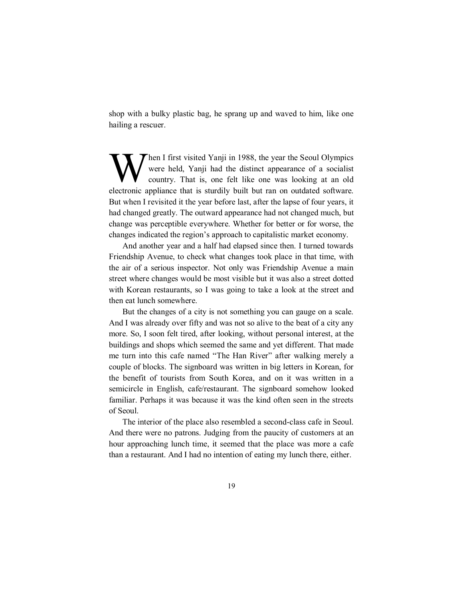shop with a bulky plastic bag, he sprang up and waved to him, like one hailing a rescuer.

Then I first visited Yanji in 1988, the year the Seoul Olympics were held, Yanji had the distinct appearance of a socialist country. That is, one felt like one was looking at an old electronic appliance that is sturdily built but ran on outdated software. But when I revisited it the year before last, after the lapse of four years, it had changed greatly. The outward appearance had not changed much, but change was perceptible everywhere. Whether for better or for worse, the changes indicated the region's approach to capitalistic market economy. W

And another year and a half had elapsed since then. I turned towards Friendship Avenue, to check what changes took place in that time, with the air of a serious inspector. Not only was Friendship Avenue a main street where changes would be most visible but it was also a street dotted with Korean restaurants, so I was going to take a look at the street and then eat lunch somewhere.

But the changes of a city is not something you can gauge on a scale. And I was already over fifty and was not so alive to the beat of a city any more. So, I soon felt tired, after looking, without personal interest, at the buildings and shops which seemed the same and yet different. That made me turn into this cafe named "The Han River" after walking merely a couple of blocks. The signboard was written in big letters in Korean, for the benefit of tourists from South Korea, and on it was written in a semicircle in English, cafe/restaurant. The signboard somehow looked familiar. Perhaps it was because it was the kind often seen in the streets of Seoul.

The interior of the place also resembled a second-class cafe in Seoul. And there were no patrons. Judging from the paucity of customers at an hour approaching lunch time, it seemed that the place was more a cafe than a restaurant. And I had no intention of eating my lunch there, either.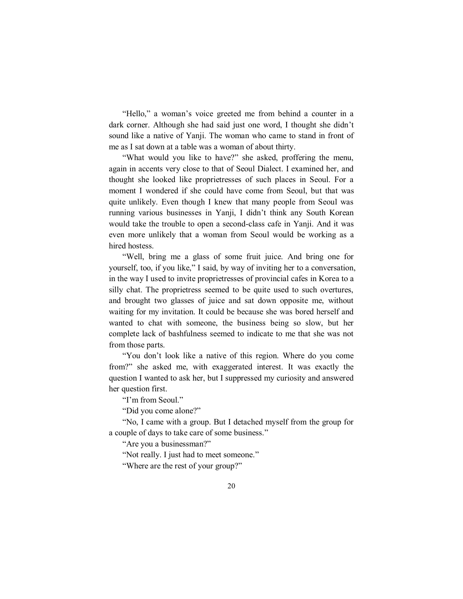"Hello," a woman's voice greeted me from behind a counter in a dark corner. Although she had said just one word, I thought she didn't sound like a native of Yanji. The woman who came to stand in front of me as I sat down at a table was a woman of about thirty.

"What would you like to have?" she asked, proffering the menu, again in accents very close to that of Seoul Dialect. I examined her, and thought she looked like proprietresses of such places in Seoul. For a moment I wondered if she could have come from Seoul, but that was quite unlikely. Even though I knew that many people from Seoul was running various businesses in Yanji, I didn't think any South Korean would take the trouble to open a second-class cafe in Yanji. And it was even more unlikely that a woman from Seoul would be working as a hired hostess.

"Well, bring me a glass of some fruit juice. And bring one for yourself, too, if you like," I said, by way of inviting her to a conversation, in the way I used to invite proprietresses of provincial cafes in Korea to a silly chat. The proprietress seemed to be quite used to such overtures, and brought two glasses of juice and sat down opposite me, without waiting for my invitation. It could be because she was bored herself and wanted to chat with someone, the business being so slow, but her complete lack of bashfulness seemed to indicate to me that she was not from those parts.

"You don't look like a native of this region. Where do you come from?" she asked me, with exaggerated interest. It was exactly the question I wanted to ask her, but I suppressed my curiosity and answered her question first.

"I'm from Seoul."

"Did you come alone?"

"No, I came with a group. But I detached myself from the group for a couple of days to take care of some business."

"Are you a businessman?"

"Not really. I just had to meet someone."

"Where are the rest of your group?"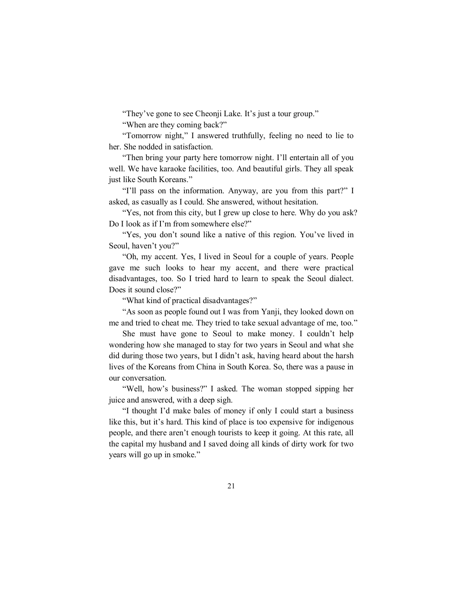"They've gone to see Cheonji Lake. It's just a tour group."

"When are they coming back?"

"Tomorrow night," I answered truthfully, feeling no need to lie to her. She nodded in satisfaction.

"Then bring your party here tomorrow night. I'll entertain all of you well. We have karaoke facilities, too. And beautiful girls. They all speak just like South Koreans."

"I'll pass on the information. Anyway, are you from this part?" I asked, as casually as I could. She answered, without hesitation.

"Yes, not from this city, but I grew up close to here. Why do you ask? Do I look as if I'm from somewhere else?"

"Yes, you don't sound like a native of this region. You've lived in Seoul, haven't you?"

"Oh, my accent. Yes, I lived in Seoul for a couple of years. People gave me such looks to hear my accent, and there were practical disadvantages, too. So I tried hard to learn to speak the Seoul dialect. Does it sound close?"

"What kind of practical disadvantages?"

"As soon as people found out I was from Yanji, they looked down on me and tried to cheat me. They tried to take sexual advantage of me, too."

She must have gone to Seoul to make money. I couldn't help wondering how she managed to stay for two years in Seoul and what she did during those two years, but I didn't ask, having heard about the harsh lives of the Koreans from China in South Korea. So, there was a pause in our conversation.

"Well, how's business?" I asked. The woman stopped sipping her juice and answered, with a deep sigh.

"I thought I'd make bales of money if only I could start a business like this, but it's hard. This kind of place is too expensive for indigenous people, and there aren't enough tourists to keep it going. At this rate, all the capital my husband and I saved doing all kinds of dirty work for two years will go up in smoke."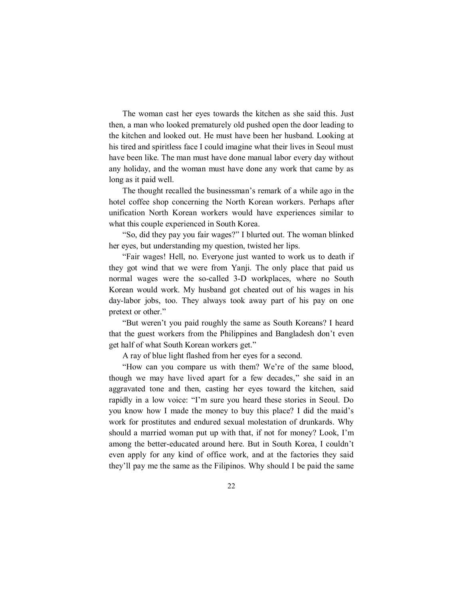The woman cast her eyes towards the kitchen as she said this. Just then, a man who looked prematurely old pushed open the door leading to the kitchen and looked out. He must have been her husband. Looking at his tired and spiritless face I could imagine what their lives in Seoul must have been like. The man must have done manual labor every day without any holiday, and the woman must have done any work that came by as long as it paid well.

The thought recalled the businessman's remark of a while ago in the hotel coffee shop concerning the North Korean workers. Perhaps after unification North Korean workers would have experiences similar to what this couple experienced in South Korea.

"So, did they pay you fair wages?" I blurted out. The woman blinked her eyes, but understanding my question, twisted her lips.

"Fair wages! Hell, no. Everyone just wanted to work us to death if they got wind that we were from Yanji. The only place that paid us normal wages were the so-called 3-D workplaces, where no South Korean would work. My husband got cheated out of his wages in his day-labor jobs, too. They always took away part of his pay on one pretext or other."

"But weren't you paid roughly the same as South Koreans? I heard that the guest workers from the Philippines and Bangladesh don't even get half of what South Korean workers get."

A ray of blue light flashed from her eyes for a second.

"How can you compare us with them? We're of the same blood, though we may have lived apart for a few decades," she said in an aggravated tone and then, casting her eyes toward the kitchen, said rapidly in a low voice: "I'm sure you heard these stories in Seoul. Do you know how I made the money to buy this place? I did the maid's work for prostitutes and endured sexual molestation of drunkards. Why should a married woman put up with that, if not for money? Look, I'm among the better-educated around here. But in South Korea, I couldn't even apply for any kind of office work, and at the factories they said they'll pay me the same as the Filipinos. Why should I be paid the same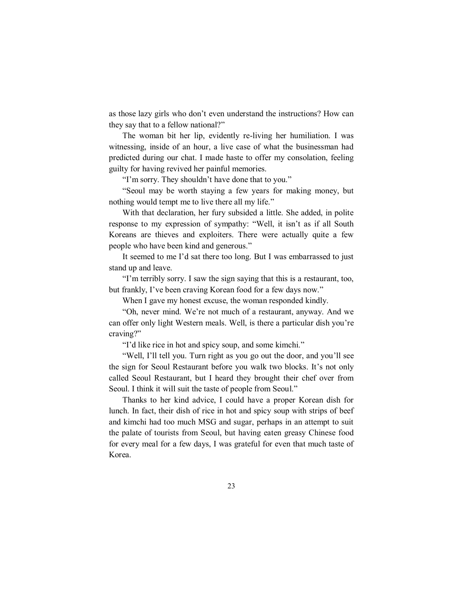as those lazy girls who don't even understand the instructions? How can they say that to a fellow national?"

The woman bit her lip, evidently re-living her humiliation. I was witnessing, inside of an hour, a live case of what the businessman had predicted during our chat. I made haste to offer my consolation, feeling guilty for having revived her painful memories.

"I'm sorry. They shouldn't have done that to you."

"Seoul may be worth staying a few years for making money, but nothing would tempt me to live there all my life."

With that declaration, her fury subsided a little. She added, in polite response to my expression of sympathy: "Well, it isn't as if all South Koreans are thieves and exploiters. There were actually quite a few people who have been kind and generous."

It seemed to me I'd sat there too long. But I was embarrassed to just stand up and leave.

"I'm terribly sorry. I saw the sign saying that this is a restaurant, too, but frankly, I've been craving Korean food for a few days now."

When I gave my honest excuse, the woman responded kindly.

"Oh, never mind. We're not much of a restaurant, anyway. And we can offer only light Western meals. Well, is there a particular dish you're craving?"

"I'd like rice in hot and spicy soup, and some kimchi."

"Well, I'll tell you. Turn right as you go out the door, and you'll see the sign for Seoul Restaurant before you walk two blocks. It's not only called Seoul Restaurant, but I heard they brought their chef over from Seoul. I think it will suit the taste of people from Seoul."

Thanks to her kind advice, I could have a proper Korean dish for lunch. In fact, their dish of rice in hot and spicy soup with strips of beef and kimchi had too much MSG and sugar, perhaps in an attempt to suit the palate of tourists from Seoul, but having eaten greasy Chinese food for every meal for a few days, I was grateful for even that much taste of Korea.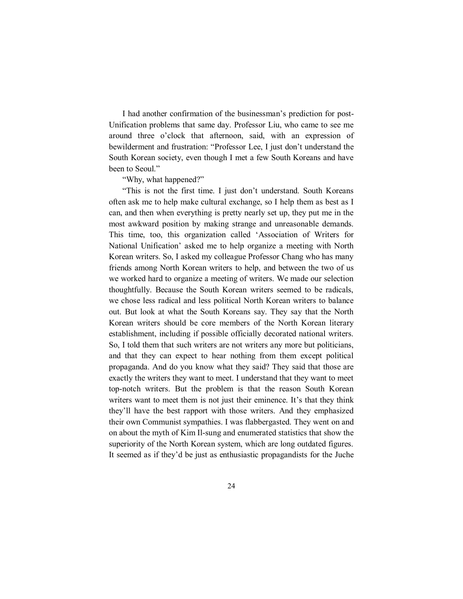I had another confirmation of the businessman's prediction for post-Unification problems that same day. Professor Liu, who came to see me around three o'clock that afternoon, said, with an expression of bewilderment and frustration: "Professor Lee, I just don't understand the South Korean society, even though I met a few South Koreans and have been to Seoul."

"Why, what happened?"

"This is not the first time. I just don't understand. South Koreans often ask me to help make cultural exchange, so I help them as best as I can, and then when everything is pretty nearly set up, they put me in the most awkward position by making strange and unreasonable demands. This time, too, this organization called 'Association of Writers for National Unification' asked me to help organize a meeting with North Korean writers. So, I asked my colleague Professor Chang who has many friends among North Korean writers to help, and between the two of us we worked hard to organize a meeting of writers. We made our selection thoughtfully. Because the South Korean writers seemed to be radicals, we chose less radical and less political North Korean writers to balance out. But look at what the South Koreans say. They say that the North Korean writers should be core members of the North Korean literary establishment, including if possible officially decorated national writers. So, I told them that such writers are not writers any more but politicians, and that they can expect to hear nothing from them except political propaganda. And do you know what they said? They said that those are exactly the writers they want to meet. I understand that they want to meet top-notch writers. But the problem is that the reason South Korean writers want to meet them is not just their eminence. It's that they think they'll have the best rapport with those writers. And they emphasized their own Communist sympathies. I was flabbergasted. They went on and on about the myth of Kim Il-sung and enumerated statistics that show the superiority of the North Korean system, which are long outdated figures. It seemed as if they'd be just as enthusiastic propagandists for the Juche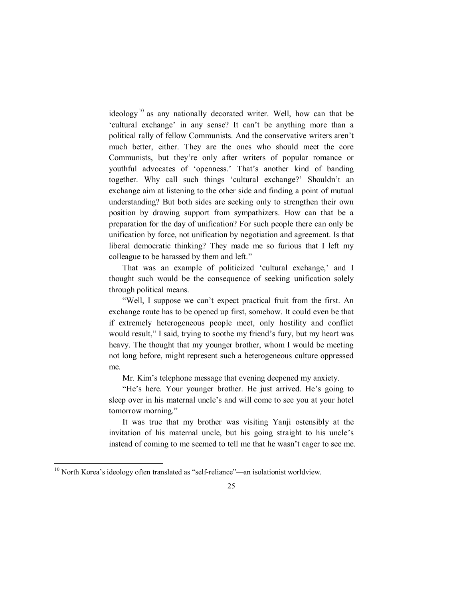ideology<sup>10</sup> as any nationally decorated writer. Well, how can that be 'cultural exchange' in any sense? It can't be anything more than a political rally of fellow Communists. And the conservative writers aren't much better, either. They are the ones who should meet the core Communists, but they're only after writers of popular romance or youthful advocates of 'openness.' That's another kind of banding together. Why call such things 'cultural exchange?' Shouldn't an exchange aim at listening to the other side and finding a point of mutual understanding? But both sides are seeking only to strengthen their own position by drawing support from sympathizers. How can that be a preparation for the day of unification? For such people there can only be unification by force, not unification by negotiation and agreement. Is that liberal democratic thinking? They made me so furious that I left my colleague to be harassed by them and left."

That was an example of politicized 'cultural exchange,' and I thought such would be the consequence of seeking unification solely through political means.

"Well, I suppose we can't expect practical fruit from the first. An exchange route has to be opened up first, somehow. It could even be that if extremely heterogeneous people meet, only hostility and conflict would result," I said, trying to soothe my friend's fury, but my heart was heavy. The thought that my younger brother, whom I would be meeting not long before, might represent such a heterogeneous culture oppressed me.

Mr. Kim's telephone message that evening deepened my anxiety.

"He's here. Your younger brother. He just arrived. He's going to sleep over in his maternal uncle's and will come to see you at your hotel tomorrow morning."

It was true that my brother was visiting Yanji ostensibly at the invitation of his maternal uncle, but his going straight to his uncle's instead of coming to me seemed to tell me that he wasn't eager to see me.

 $10$  North Korea's ideology often translated as "self-reliance"—an isolationist worldview.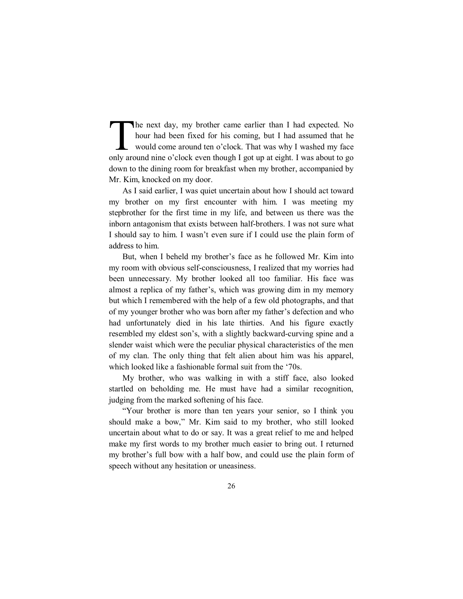The next day, my brother came earlier than I had expected. No hour had been fixed for his coming, but I had assumed that he would come around ten o'clock. That was why I washed my face The next day, my brother came earlier than I had expected. No hour had been fixed for his coming, but I had assumed that he would come around ten o'clock. That was why I washed my face only around nine o'clock even though down to the dining room for breakfast when my brother, accompanied by Mr. Kim, knocked on my door.

As I said earlier, I was quiet uncertain about how I should act toward my brother on my first encounter with him. I was meeting my stepbrother for the first time in my life, and between us there was the inborn antagonism that exists between half-brothers. I was not sure what I should say to him. I wasn't even sure if I could use the plain form of address to him.

But, when I beheld my brother's face as he followed Mr. Kim into my room with obvious self-consciousness, I realized that my worries had been unnecessary. My brother looked all too familiar. His face was almost a replica of my father's, which was growing dim in my memory but which I remembered with the help of a few old photographs, and that of my younger brother who was born after my father's defection and who had unfortunately died in his late thirties. And his figure exactly resembled my eldest son's, with a slightly backward-curving spine and a slender waist which were the peculiar physical characteristics of the men of my clan. The only thing that felt alien about him was his apparel, which looked like a fashionable formal suit from the '70s.

My brother, who was walking in with a stiff face, also looked startled on beholding me. He must have had a similar recognition, judging from the marked softening of his face.

"Your brother is more than ten years your senior, so I think you should make a bow," Mr. Kim said to my brother, who still looked uncertain about what to do or say. It was a great relief to me and helped make my first words to my brother much easier to bring out. I returned my brother's full bow with a half bow, and could use the plain form of speech without any hesitation or uneasiness.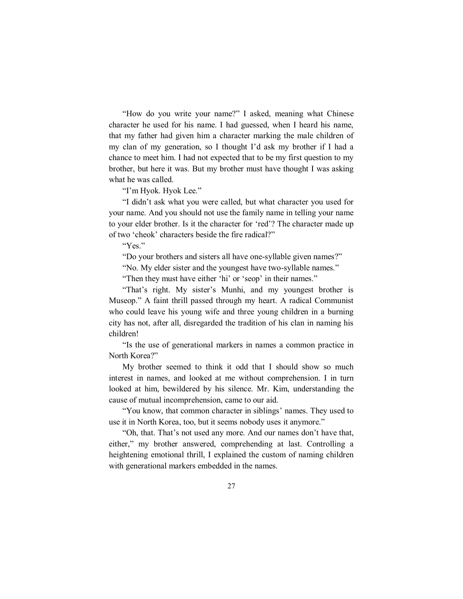"How do you write your name?" I asked, meaning what Chinese character he used for his name. I had guessed, when I heard his name, that my father had given him a character marking the male children of my clan of my generation, so I thought I'd ask my brother if I had a chance to meet him. I had not expected that to be my first question to my brother, but here it was. But my brother must have thought I was asking what he was called.

"I'm Hyok. Hyok Lee."

"I didn't ask what you were called, but what character you used for your name. And you should not use the family name in telling your name to your elder brother. Is it the character for 'red'? The character made up of two 'cheok' characters beside the fire radical?"

"Yes."

"Do your brothers and sisters all have one-syllable given names?"

"No. My elder sister and the youngest have two-syllable names."

"Then they must have either 'hi' or 'seop' in their names."

"That's right. My sister's Munhi, and my youngest brother is Museop." A faint thrill passed through my heart. A radical Communist who could leave his young wife and three young children in a burning city has not, after all, disregarded the tradition of his clan in naming his children!

"Is the use of generational markers in names a common practice in North Korea?"

My brother seemed to think it odd that I should show so much interest in names, and looked at me without comprehension. I in turn looked at him, bewildered by his silence. Mr. Kim, understanding the cause of mutual incomprehension, came to our aid.

"You know, that common character in siblings' names. They used to use it in North Korea, too, but it seems nobody uses it anymore."

"Oh, that. That's not used any more. And our names don't have that, either," my brother answered, comprehending at last. Controlling a heightening emotional thrill, I explained the custom of naming children with generational markers embedded in the names.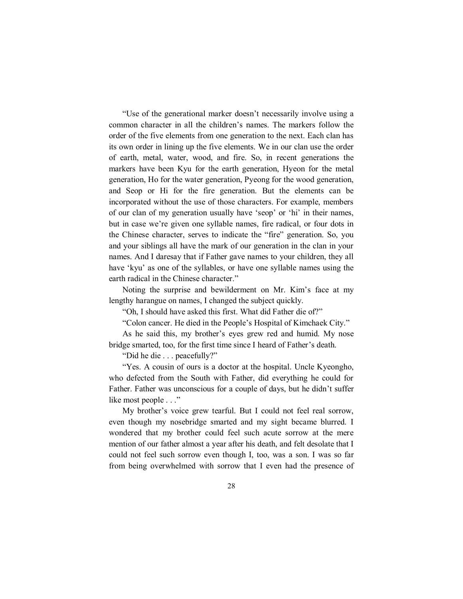"Use of the generational marker doesn't necessarily involve using a common character in all the children's names. The markers follow the order of the five elements from one generation to the next. Each clan has its own order in lining up the five elements. We in our clan use the order of earth, metal, water, wood, and fire. So, in recent generations the markers have been Kyu for the earth generation, Hyeon for the metal generation, Ho for the water generation, Pyeong for the wood generation, and Seop or Hi for the fire generation. But the elements can be incorporated without the use of those characters. For example, members of our clan of my generation usually have 'seop' or 'hi' in their names, but in case we're given one syllable names, fire radical, or four dots in the Chinese character, serves to indicate the "fire" generation. So, you and your siblings all have the mark of our generation in the clan in your names. And I daresay that if Father gave names to your children, they all have 'kyu' as one of the syllables, or have one syllable names using the earth radical in the Chinese character."

Noting the surprise and bewilderment on Mr. Kim's face at my lengthy harangue on names, I changed the subject quickly.

"Oh, I should have asked this first. What did Father die of?"

"Colon cancer. He died in the People's Hospital of Kimchaek City."

As he said this, my brother's eyes grew red and humid. My nose bridge smarted, too, for the first time since I heard of Father's death.

"Did he die . . . peacefully?"

"Yes. A cousin of ours is a doctor at the hospital. Uncle Kyeongho, who defected from the South with Father, did everything he could for Father. Father was unconscious for a couple of days, but he didn't suffer like most people . . ."

My brother's voice grew tearful. But I could not feel real sorrow, even though my nosebridge smarted and my sight became blurred. I wondered that my brother could feel such acute sorrow at the mere mention of our father almost a year after his death, and felt desolate that I could not feel such sorrow even though I, too, was a son. I was so far from being overwhelmed with sorrow that I even had the presence of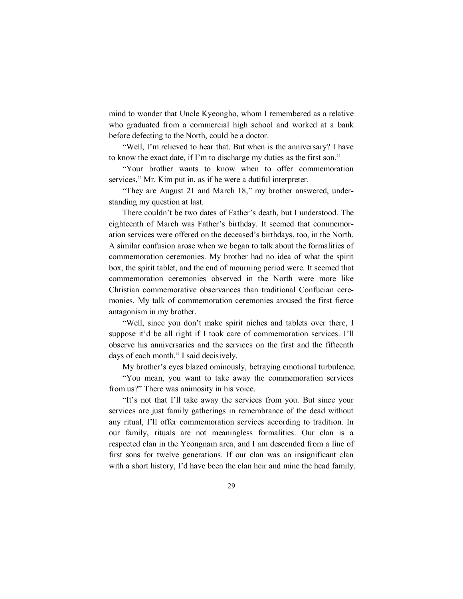mind to wonder that Uncle Kyeongho, whom I remembered as a relative who graduated from a commercial high school and worked at a bank before defecting to the North, could be a doctor.

"Well, I'm relieved to hear that. But when is the anniversary? I have to know the exact date, if I'm to discharge my duties as the first son."

"Your brother wants to know when to offer commemoration services," Mr. Kim put in, as if he were a dutiful interpreter.

"They are August 21 and March 18," my brother answered, understanding my question at last.

There couldn't be two dates of Father's death, but I understood. The eighteenth of March was Father's birthday. It seemed that commemoration services were offered on the deceased's birthdays, too, in the North. A similar confusion arose when we began to talk about the formalities of commemoration ceremonies. My brother had no idea of what the spirit box, the spirit tablet, and the end of mourning period were. It seemed that commemoration ceremonies observed in the North were more like Christian commemorative observances than traditional Confucian ceremonies. My talk of commemoration ceremonies aroused the first fierce antagonism in my brother.

"Well, since you don't make spirit niches and tablets over there, I suppose it'd be all right if I took care of commemoration services. I'll observe his anniversaries and the services on the first and the fifteenth days of each month," I said decisively.

My brother's eyes blazed ominously, betraying emotional turbulence.

"You mean, you want to take away the commemoration services from us?" There was animosity in his voice.

"It's not that I'll take away the services from you. But since your services are just family gatherings in remembrance of the dead without any ritual, I'll offer commemoration services according to tradition. In our family, rituals are not meaningless formalities. Our clan is a respected clan in the Yeongnam area, and I am descended from a line of first sons for twelve generations. If our clan was an insignificant clan with a short history, I'd have been the clan heir and mine the head family.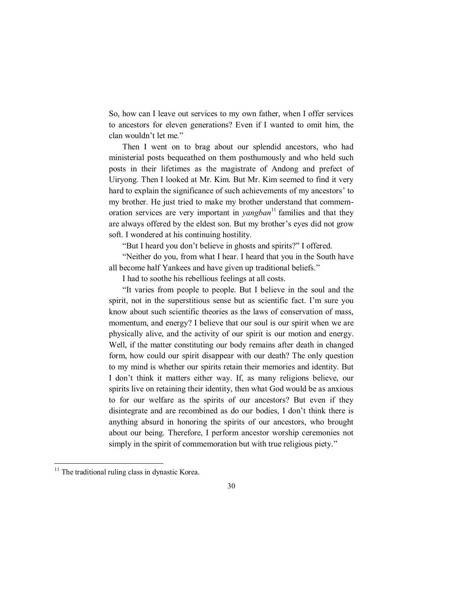So, how can I leave out services to my own father, when I offer services to ancestors for eleven generations? Even if I wanted to omit him, the clan wouldn't let me."

Then I went on to brag about our splendid ancestors, who had ministerial posts bequeathed on them posthumously and who held such posts in their lifetimes as the magistrate of Andong and prefect of Uiryong. Then I looked at Mr. Kim. But Mr. Kim seemed to find it very hard to explain the significance of such achievements of my ancestors' to my brother. He just tried to make my brother understand that commemoration services are very important in  $\varphi$ *yangban*<sup>11</sup> families and that they are always offered by the eldest son. But my brother's eyes did not grow soft. I wondered at his continuing hostility.

"But I heard you don't believe in ghosts and spirits?" I offered.

"Neither do you, from what I hear. I heard that you in the South have all become half Yankees and have given up traditional beliefs."

I had to soothe his rebellious feelings at all costs.

"It varies from people to people. But I believe in the soul and the spirit, not in the superstitious sense but as scientific fact. I'm sure you know about such scientific theories as the laws of conservation of mass, momentum, and energy? I believe that our soul is our spirit when we are physically alive, and the activity of our spirit is our motion and energy. Well, if the matter constituting our body remains after death in changed form, how could our spirit disappear with our death? The only question to my mind is whether our spirits retain their memories and identity. But I don't think it matters either way. If, as many religions believe, our spirits live on retaining their identity, then what God would be as anxious to for our welfare as the spirits of our ancestors? But even if they disintegrate and are recombined as do our bodies, I don't think there is anything absurd in honoring the spirits of our ancestors, who brought about our being. Therefore, I perform ancestor worship ceremonies not simply in the spirit of commemoration but with true religious piety."

 $11$  The traditional ruling class in dynastic Korea.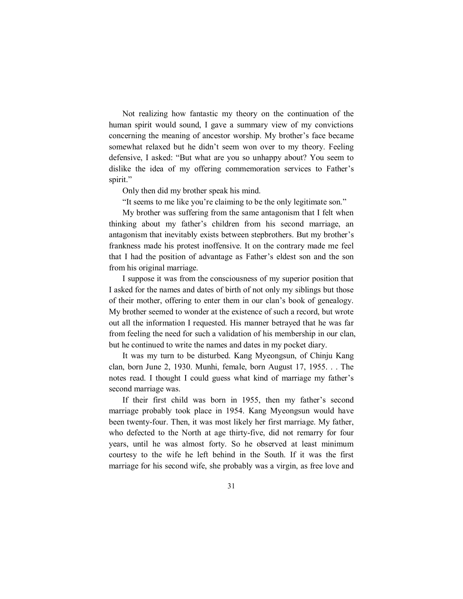Not realizing how fantastic my theory on the continuation of the human spirit would sound, I gave a summary view of my convictions concerning the meaning of ancestor worship. My brother's face became somewhat relaxed but he didn't seem won over to my theory. Feeling defensive, I asked: "But what are you so unhappy about? You seem to dislike the idea of my offering commemoration services to Father's spirit."

Only then did my brother speak his mind.

"It seems to me like you're claiming to be the only legitimate son."

My brother was suffering from the same antagonism that I felt when thinking about my father's children from his second marriage, an antagonism that inevitably exists between stepbrothers. But my brother's frankness made his protest inoffensive. It on the contrary made me feel that I had the position of advantage as Father's eldest son and the son from his original marriage.

I suppose it was from the consciousness of my superior position that I asked for the names and dates of birth of not only my siblings but those of their mother, offering to enter them in our clan's book of genealogy. My brother seemed to wonder at the existence of such a record, but wrote out all the information I requested. His manner betrayed that he was far from feeling the need for such a validation of his membership in our clan, but he continued to write the names and dates in my pocket diary.

It was my turn to be disturbed. Kang Myeongsun, of Chinju Kang clan, born June 2, 1930. Munhi, female, born August 17, 1955. . . The notes read. I thought I could guess what kind of marriage my father's second marriage was.

If their first child was born in 1955, then my father's second marriage probably took place in 1954. Kang Myeongsun would have been twenty-four. Then, it was most likely her first marriage. My father, who defected to the North at age thirty-five, did not remarry for four years, until he was almost forty. So he observed at least minimum courtesy to the wife he left behind in the South. If it was the first marriage for his second wife, she probably was a virgin, as free love and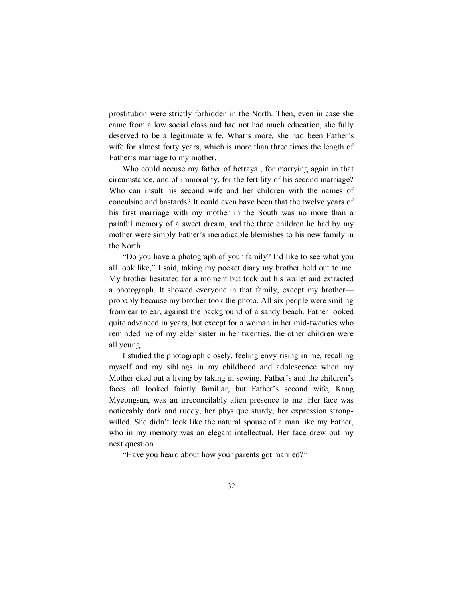prostitution were strictly forbidden in the North. Then, even in case she came from a low social class and had not had much education, she fully deserved to be a legitimate wife. What's more, she had been Father's wife for almost forty years, which is more than three times the length of Father's marriage to my mother.

Who could accuse my father of betrayal, for marrying again in that circumstance, and of immorality, for the fertility of his second marriage? Who can insult his second wife and her children with the names of concubine and bastards? It could even have been that the twelve years of his first marriage with my mother in the South was no more than a painful memory of a sweet dream, and the three children he had by my mother were simply Father's ineradicable blemishes to his new family in the North.

"Do you have a photograph of your family? I'd like to see what you all look like," I said, taking my pocket diary my brother held out to me. My brother hesitated for a moment but took out his wallet and extracted a photograph. It showed everyone in that family, except my brother probably because my brother took the photo. All six people were smiling from ear to ear, against the background of a sandy beach. Father looked quite advanced in years, but except for a woman in her mid-twenties who reminded me of my elder sister in her twenties, the other children were all young.

I studied the photograph closely, feeling envy rising in me, recalling myself and my siblings in my childhood and adolescence when my Mother eked out a living by taking in sewing. Father's and the children's faces all looked faintly familiar, but Father's second wife, Kang Myeongsun, was an irreconcilably alien presence to me. Her face was noticeably dark and ruddy, her physique sturdy, her expression strongwilled. She didn't look like the natural spouse of a man like my Father, who in my memory was an elegant intellectual. Her face drew out my next question.

"Have you heard about how your parents got married?"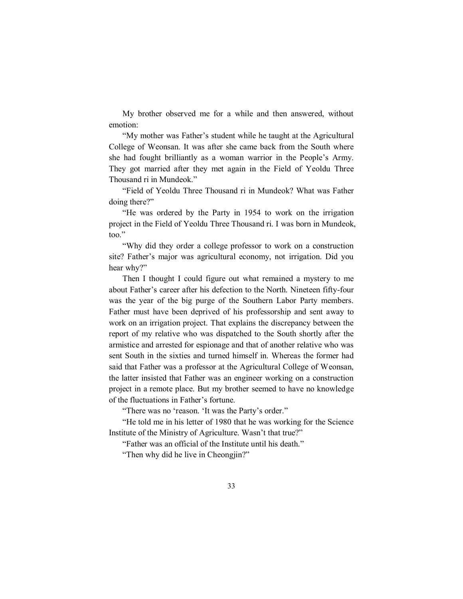My brother observed me for a while and then answered, without emotion:

"My mother was Father's student while he taught at the Agricultural College of Weonsan. It was after she came back from the South where she had fought brilliantly as a woman warrior in the People's Army. They got married after they met again in the Field of Yeoldu Three Thousand ri in Mundeok."

"Field of Yeoldu Three Thousand ri in Mundeok? What was Father doing there?"

"He was ordered by the Party in 1954 to work on the irrigation project in the Field of Yeoldu Three Thousand ri. I was born in Mundeok, too."

"Why did they order a college professor to work on a construction site? Father's major was agricultural economy, not irrigation. Did you hear why?"

Then I thought I could figure out what remained a mystery to me about Father's career after his defection to the North. Nineteen fifty-four was the year of the big purge of the Southern Labor Party members. Father must have been deprived of his professorship and sent away to work on an irrigation project. That explains the discrepancy between the report of my relative who was dispatched to the South shortly after the armistice and arrested for espionage and that of another relative who was sent South in the sixties and turned himself in. Whereas the former had said that Father was a professor at the Agricultural College of Weonsan, the latter insisted that Father was an engineer working on a construction project in a remote place. But my brother seemed to have no knowledge of the fluctuations in Father's fortune.

"There was no 'reason. 'It was the Party's order."

"He told me in his letter of 1980 that he was working for the Science Institute of the Ministry of Agriculture. Wasn't that true?"

"Father was an official of the Institute until his death."

"Then why did he live in Cheongjin?"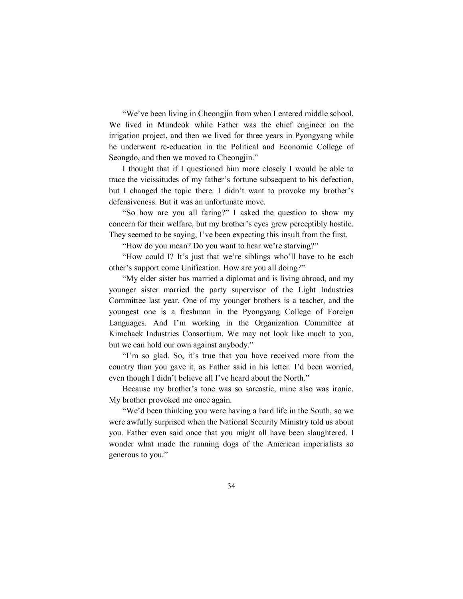"We've been living in Cheongjin from when I entered middle school. We lived in Mundeok while Father was the chief engineer on the irrigation project, and then we lived for three years in Pyongyang while he underwent re-education in the Political and Economic College of Seongdo, and then we moved to Cheongjin."

I thought that if I questioned him more closely I would be able to trace the vicissitudes of my father's fortune subsequent to his defection, but I changed the topic there. I didn't want to provoke my brother's defensiveness. But it was an unfortunate move.

"So how are you all faring?" I asked the question to show my concern for their welfare, but my brother's eyes grew perceptibly hostile. They seemed to be saying, I've been expecting this insult from the first.

"How do you mean? Do you want to hear we're starving?"

"How could I? It's just that we're siblings who'll have to be each other's support come Unification. How are you all doing?"

"My elder sister has married a diplomat and is living abroad, and my younger sister married the party supervisor of the Light Industries Committee last year. One of my younger brothers is a teacher, and the youngest one is a freshman in the Pyongyang College of Foreign Languages. And I'm working in the Organization Committee at Kimchaek Industries Consortium. We may not look like much to you, but we can hold our own against anybody."

"I'm so glad. So, it's true that you have received more from the country than you gave it, as Father said in his letter. I'd been worried, even though I didn't believe all I've heard about the North."

Because my brother's tone was so sarcastic, mine also was ironic. My brother provoked me once again.

"We'd been thinking you were having a hard life in the South, so we were awfully surprised when the National Security Ministry told us about you. Father even said once that you might all have been slaughtered. I wonder what made the running dogs of the American imperialists so generous to you."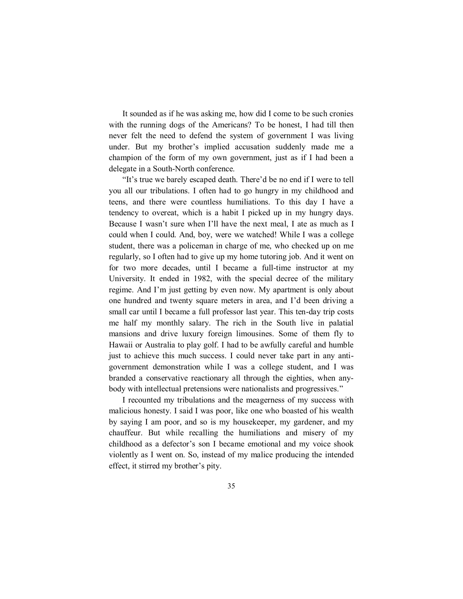It sounded as if he was asking me, how did I come to be such cronies with the running dogs of the Americans? To be honest, I had till then never felt the need to defend the system of government I was living under. But my brother's implied accusation suddenly made me a champion of the form of my own government, just as if I had been a delegate in a South-North conference.

"It's true we barely escaped death. There'd be no end if I were to tell you all our tribulations. I often had to go hungry in my childhood and teens, and there were countless humiliations. To this day I have a tendency to overeat, which is a habit I picked up in my hungry days. Because I wasn't sure when I'll have the next meal, I ate as much as I could when I could. And, boy, were we watched! While I was a college student, there was a policeman in charge of me, who checked up on me regularly, so I often had to give up my home tutoring job. And it went on for two more decades, until I became a full-time instructor at my University. It ended in 1982, with the special decree of the military regime. And I'm just getting by even now. My apartment is only about one hundred and twenty square meters in area, and I'd been driving a small car until I became a full professor last year. This ten-day trip costs me half my monthly salary. The rich in the South live in palatial mansions and drive luxury foreign limousines. Some of them fly to Hawaii or Australia to play golf. I had to be awfully careful and humble just to achieve this much success. I could never take part in any antigovernment demonstration while I was a college student, and I was branded a conservative reactionary all through the eighties, when anybody with intellectual pretensions were nationalists and progressives."

I recounted my tribulations and the meagerness of my success with malicious honesty. I said I was poor, like one who boasted of his wealth by saying I am poor, and so is my housekeeper, my gardener, and my chauffeur. But while recalling the humiliations and misery of my childhood as a defector's son I became emotional and my voice shook violently as I went on. So, instead of my malice producing the intended effect, it stirred my brother's pity.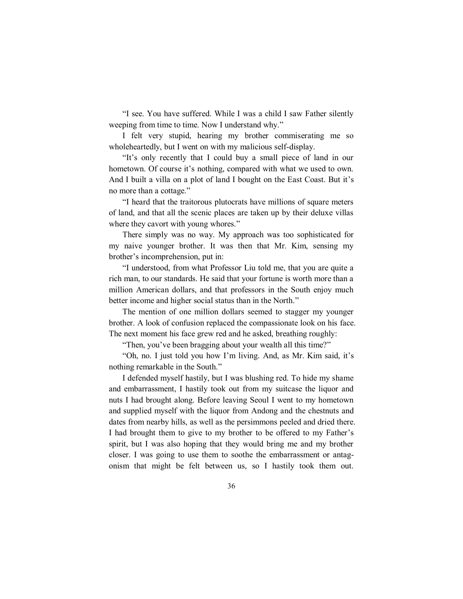"I see. You have suffered. While I was a child I saw Father silently weeping from time to time. Now I understand why."

I felt very stupid, hearing my brother commiserating me so wholeheartedly, but I went on with my malicious self-display.

"It's only recently that I could buy a small piece of land in our hometown. Of course it's nothing, compared with what we used to own. And I built a villa on a plot of land I bought on the East Coast. But it's no more than a cottage."

"I heard that the traitorous plutocrats have millions of square meters of land, and that all the scenic places are taken up by their deluxe villas where they cavort with young whores."

There simply was no way. My approach was too sophisticated for my naive younger brother. It was then that Mr. Kim, sensing my brother's incomprehension, put in:

"I understood, from what Professor Liu told me, that you are quite a rich man, to our standards. He said that your fortune is worth more than a million American dollars, and that professors in the South enjoy much better income and higher social status than in the North."

The mention of one million dollars seemed to stagger my younger brother. A look of confusion replaced the compassionate look on his face. The next moment his face grew red and he asked, breathing roughly:

"Then, you've been bragging about your wealth all this time?"

"Oh, no. I just told you how I'm living. And, as Mr. Kim said, it's nothing remarkable in the South."

I defended myself hastily, but I was blushing red. To hide my shame and embarrassment, I hastily took out from my suitcase the liquor and nuts I had brought along. Before leaving Seoul I went to my hometown and supplied myself with the liquor from Andong and the chestnuts and dates from nearby hills, as well as the persimmons peeled and dried there. I had brought them to give to my brother to be offered to my Father's spirit, but I was also hoping that they would bring me and my brother closer. I was going to use them to soothe the embarrassment or antagonism that might be felt between us, so I hastily took them out.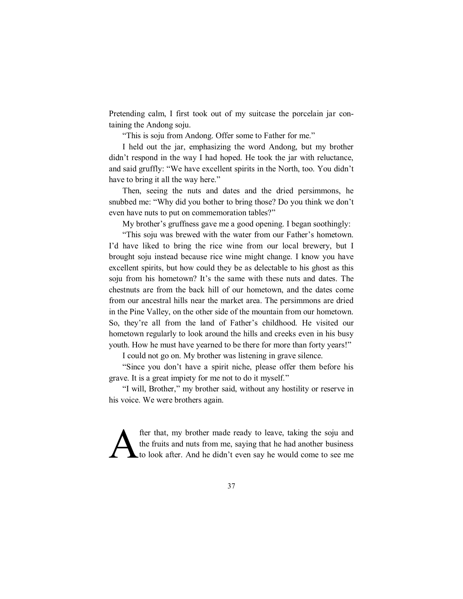Pretending calm, I first took out of my suitcase the porcelain jar containing the Andong soju.

"This is soju from Andong. Offer some to Father for me."

I held out the jar, emphasizing the word Andong, but my brother didn't respond in the way I had hoped. He took the jar with reluctance, and said gruffly: "We have excellent spirits in the North, too. You didn't have to bring it all the way here."

Then, seeing the nuts and dates and the dried persimmons, he snubbed me: "Why did you bother to bring those? Do you think we don't even have nuts to put on commemoration tables?"

My brother's gruffness gave me a good opening. I began soothingly:

"This soju was brewed with the water from our Father's hometown. I'd have liked to bring the rice wine from our local brewery, but I brought soju instead because rice wine might change. I know you have excellent spirits, but how could they be as delectable to his ghost as this soju from his hometown? It's the same with these nuts and dates. The chestnuts are from the back hill of our hometown, and the dates come from our ancestral hills near the market area. The persimmons are dried in the Pine Valley, on the other side of the mountain from our hometown. So, they're all from the land of Father's childhood. He visited our hometown regularly to look around the hills and creeks even in his busy youth. How he must have yearned to be there for more than forty years!"

I could not go on. My brother was listening in grave silence.

"Since you don't have a spirit niche, please offer them before his grave. It is a great impiety for me not to do it myself."

"I will, Brother," my brother said, without any hostility or reserve in his voice. We were brothers again.

fter that, my brother made ready to leave, taking the soju and the fruits and nuts from me, saying that he had another business<br>  $\text{Lto look after. And he didn't even say he would come to see me}$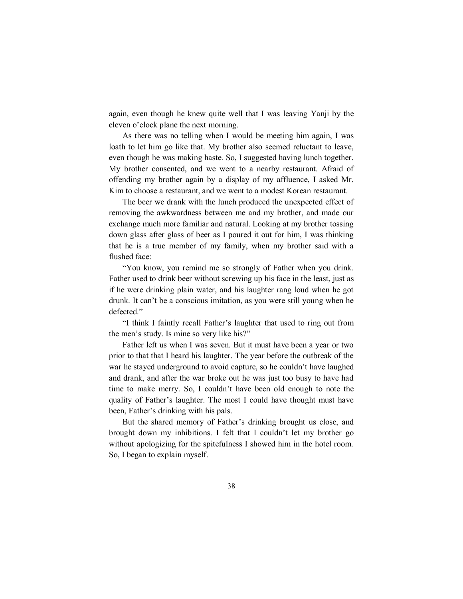again, even though he knew quite well that I was leaving Yanji by the eleven o'clock plane the next morning.

As there was no telling when I would be meeting him again, I was loath to let him go like that. My brother also seemed reluctant to leave, even though he was making haste. So, I suggested having lunch together. My brother consented, and we went to a nearby restaurant. Afraid of offending my brother again by a display of my affluence, I asked Mr. Kim to choose a restaurant, and we went to a modest Korean restaurant.

The beer we drank with the lunch produced the unexpected effect of removing the awkwardness between me and my brother, and made our exchange much more familiar and natural. Looking at my brother tossing down glass after glass of beer as I poured it out for him, I was thinking that he is a true member of my family, when my brother said with a flushed face:

"You know, you remind me so strongly of Father when you drink. Father used to drink beer without screwing up his face in the least, just as if he were drinking plain water, and his laughter rang loud when he got drunk. It can't be a conscious imitation, as you were still young when he defected."

"I think I faintly recall Father's laughter that used to ring out from the men's study. Is mine so very like his?"

Father left us when I was seven. But it must have been a year or two prior to that that I heard his laughter. The year before the outbreak of the war he stayed underground to avoid capture, so he couldn't have laughed and drank, and after the war broke out he was just too busy to have had time to make merry. So, I couldn't have been old enough to note the quality of Father's laughter. The most I could have thought must have been, Father's drinking with his pals.

But the shared memory of Father's drinking brought us close, and brought down my inhibitions. I felt that I couldn't let my brother go without apologizing for the spitefulness I showed him in the hotel room. So, I began to explain myself.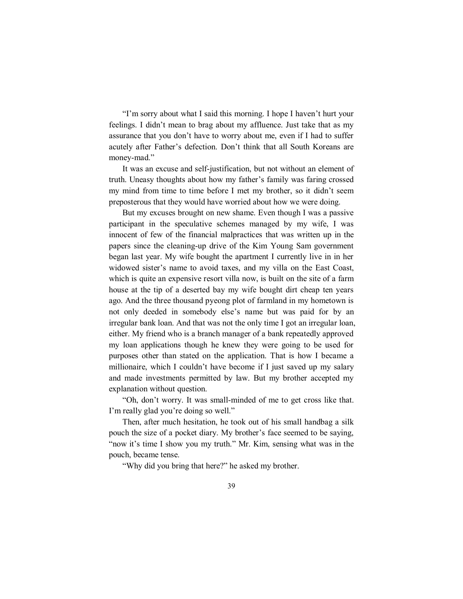"I'm sorry about what I said this morning. I hope I haven't hurt your feelings. I didn't mean to brag about my affluence. Just take that as my assurance that you don't have to worry about me, even if I had to suffer acutely after Father's defection. Don't think that all South Koreans are money-mad."

It was an excuse and self-justification, but not without an element of truth. Uneasy thoughts about how my father's family was faring crossed my mind from time to time before I met my brother, so it didn't seem preposterous that they would have worried about how we were doing.

But my excuses brought on new shame. Even though I was a passive participant in the speculative schemes managed by my wife, I was innocent of few of the financial malpractices that was written up in the papers since the cleaning-up drive of the Kim Young Sam government began last year. My wife bought the apartment I currently live in in her widowed sister's name to avoid taxes, and my villa on the East Coast, which is quite an expensive resort villa now, is built on the site of a farm house at the tip of a deserted bay my wife bought dirt cheap ten years ago. And the three thousand pyeong plot of farmland in my hometown is not only deeded in somebody else's name but was paid for by an irregular bank loan. And that was not the only time I got an irregular loan, either. My friend who is a branch manager of a bank repeatedly approved my loan applications though he knew they were going to be used for purposes other than stated on the application. That is how I became a millionaire, which I couldn't have become if I just saved up my salary and made investments permitted by law. But my brother accepted my explanation without question.

"Oh, don't worry. It was small-minded of me to get cross like that. I'm really glad you're doing so well."

Then, after much hesitation, he took out of his small handbag a silk pouch the size of a pocket diary. My brother's face seemed to be saying, "now it's time I show you my truth." Mr. Kim, sensing what was in the pouch, became tense.

"Why did you bring that here?" he asked my brother.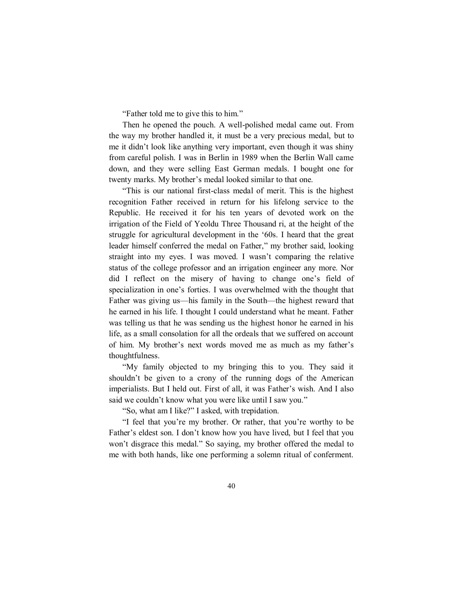"Father told me to give this to him."

Then he opened the pouch. A well-polished medal came out. From the way my brother handled it, it must be a very precious medal, but to me it didn't look like anything very important, even though it was shiny from careful polish. I was in Berlin in 1989 when the Berlin Wall came down, and they were selling East German medals. I bought one for twenty marks. My brother's medal looked similar to that one.

"This is our national first-class medal of merit. This is the highest recognition Father received in return for his lifelong service to the Republic. He received it for his ten years of devoted work on the irrigation of the Field of Yeoldu Three Thousand ri, at the height of the struggle for agricultural development in the '60s. I heard that the great leader himself conferred the medal on Father," my brother said, looking straight into my eyes. I was moved. I wasn't comparing the relative status of the college professor and an irrigation engineer any more. Nor did I reflect on the misery of having to change one's field of specialization in one's forties. I was overwhelmed with the thought that Father was giving us—his family in the South—the highest reward that he earned in his life. I thought I could understand what he meant. Father was telling us that he was sending us the highest honor he earned in his life, as a small consolation for all the ordeals that we suffered on account of him. My brother's next words moved me as much as my father's thoughtfulness.

"My family objected to my bringing this to you. They said it shouldn't be given to a crony of the running dogs of the American imperialists. But I held out. First of all, it was Father's wish. And I also said we couldn't know what you were like until I saw you."

"So, what am I like?" I asked, with trepidation.

"I feel that you're my brother. Or rather, that you're worthy to be Father's eldest son. I don't know how you have lived, but I feel that you won't disgrace this medal." So saying, my brother offered the medal to me with both hands, like one performing a solemn ritual of conferment.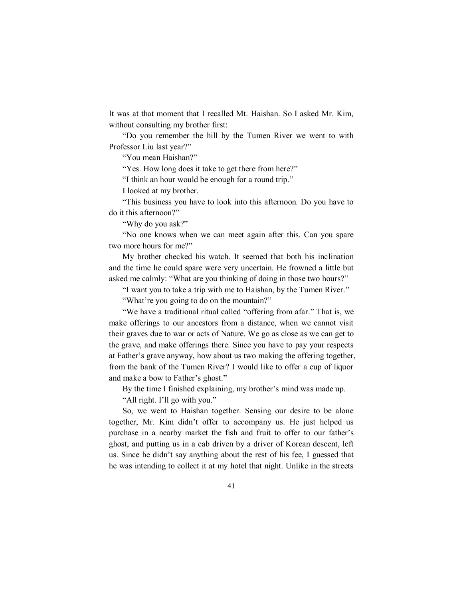It was at that moment that I recalled Mt. Haishan. So I asked Mr. Kim, without consulting my brother first:

"Do you remember the hill by the Tumen River we went to with Professor Liu last year?"

"You mean Haishan?"

"Yes. How long does it take to get there from here?"

"I think an hour would be enough for a round trip."

I looked at my brother.

"This business you have to look into this afternoon. Do you have to do it this afternoon?"

"Why do you ask?"

"No one knows when we can meet again after this. Can you spare two more hours for me?"

My brother checked his watch. It seemed that both his inclination and the time he could spare were very uncertain. He frowned a little but asked me calmly: "What are you thinking of doing in those two hours?"

"I want you to take a trip with me to Haishan, by the Tumen River."

"What're you going to do on the mountain?"

"We have a traditional ritual called "offering from afar." That is, we make offerings to our ancestors from a distance, when we cannot visit their graves due to war or acts of Nature. We go as close as we can get to the grave, and make offerings there. Since you have to pay your respects at Father's grave anyway, how about us two making the offering together, from the bank of the Tumen River? I would like to offer a cup of liquor and make a bow to Father's ghost."

By the time I finished explaining, my brother's mind was made up.

"All right. I'll go with you."

So, we went to Haishan together. Sensing our desire to be alone together, Mr. Kim didn't offer to accompany us. He just helped us purchase in a nearby market the fish and fruit to offer to our father's ghost, and putting us in a cab driven by a driver of Korean descent, left us. Since he didn't say anything about the rest of his fee, I guessed that he was intending to collect it at my hotel that night. Unlike in the streets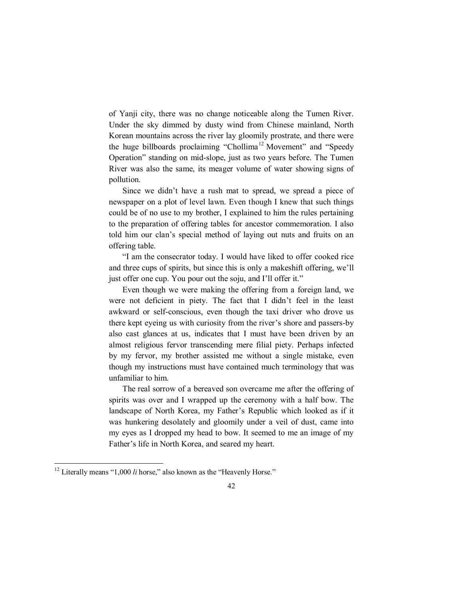of Yanji city, there was no change noticeable along the Tumen River. Under the sky dimmed by dusty wind from Chinese mainland, North Korean mountains across the river lay gloomily prostrate, and there were the huge billboards proclaiming "Chollima<sup>12</sup> Movement" and "Speedy Operation" standing on mid-slope, just as two years before. The Tumen River was also the same, its meager volume of water showing signs of pollution.

Since we didn't have a rush mat to spread, we spread a piece of newspaper on a plot of level lawn. Even though I knew that such things could be of no use to my brother, I explained to him the rules pertaining to the preparation of offering tables for ancestor commemoration. I also told him our clan's special method of laying out nuts and fruits on an offering table.

"I am the consecrator today. I would have liked to offer cooked rice and three cups of spirits, but since this is only a makeshift offering, we'll just offer one cup. You pour out the soju, and I'll offer it."

Even though we were making the offering from a foreign land, we were not deficient in piety. The fact that I didn't feel in the least awkward or self-conscious, even though the taxi driver who drove us there kept eyeing us with curiosity from the river's shore and passers-by also cast glances at us, indicates that I must have been driven by an almost religious fervor transcending mere filial piety. Perhaps infected by my fervor, my brother assisted me without a single mistake, even though my instructions must have contained much terminology that was unfamiliar to him.

The real sorrow of a bereaved son overcame me after the offering of spirits was over and I wrapped up the ceremony with a half bow. The landscape of North Korea, my Father's Republic which looked as if it was hunkering desolately and gloomily under a veil of dust, came into my eyes as I dropped my head to bow. It seemed to me an image of my Father's life in North Korea, and seared my heart.

<sup>&</sup>lt;sup>12</sup> Literally means "1,000 *li* horse," also known as the "Heavenly Horse."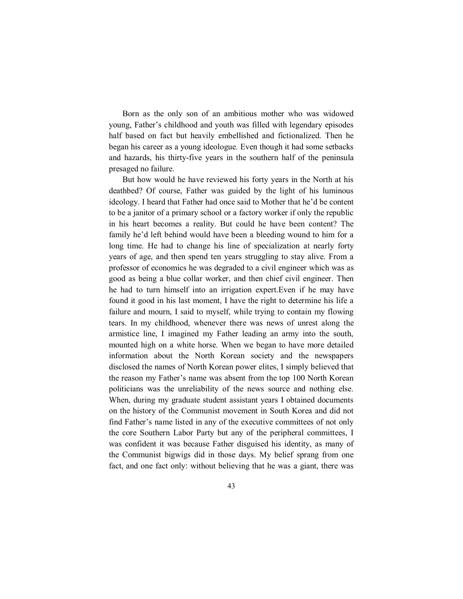Born as the only son of an ambitious mother who was widowed young, Father's childhood and youth was filled with legendary episodes half based on fact but heavily embellished and fictionalized. Then he began his career as a young ideologue. Even though it had some setbacks and hazards, his thirty-five years in the southern half of the peninsula presaged no failure.

But how would he have reviewed his forty years in the North at his deathbed? Of course, Father was guided by the light of his luminous ideology. I heard that Father had once said to Mother that he'd be content to be a janitor of a primary school or a factory worker if only the republic in his heart becomes a reality. But could he have been content? The family he'd left behind would have been a bleeding wound to him for a long time. He had to change his line of specialization at nearly forty years of age, and then spend ten years struggling to stay alive. From a professor of economics he was degraded to a civil engineer which was as good as being a blue collar worker, and then chief civil engineer. Then he had to turn himself into an irrigation expert.Even if he may have found it good in his last moment, I have the right to determine his life a failure and mourn, I said to myself, while trying to contain my flowing tears. In my childhood, whenever there was news of unrest along the armistice line, I imagined my Father leading an army into the south, mounted high on a white horse. When we began to have more detailed information about the North Korean society and the newspapers disclosed the names of North Korean power elites, I simply believed that the reason my Father's name was absent from the top 100 North Korean politicians was the unreliability of the news source and nothing else. When, during my graduate student assistant years I obtained documents on the history of the Communist movement in South Korea and did not find Father's name listed in any of the executive committees of not only the core Southern Labor Party but any of the peripheral committees, I was confident it was because Father disguised his identity, as many of the Communist bigwigs did in those days. My belief sprang from one fact, and one fact only: without believing that he was a giant, there was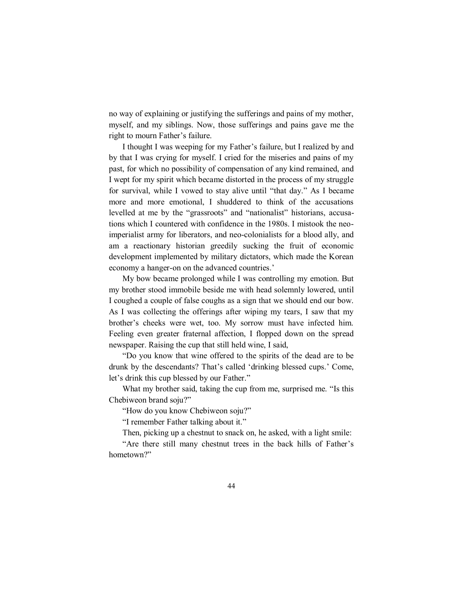no way of explaining or justifying the sufferings and pains of my mother, myself, and my siblings. Now, those sufferings and pains gave me the right to mourn Father's failure.

I thought I was weeping for my Father's failure, but I realized by and by that I was crying for myself. I cried for the miseries and pains of my past, for which no possibility of compensation of any kind remained, and I wept for my spirit which became distorted in the process of my struggle for survival, while I vowed to stay alive until "that day." As I became more and more emotional, I shuddered to think of the accusations levelled at me by the "grassroots" and "nationalist" historians, accusations which I countered with confidence in the 1980s. I mistook the neoimperialist army for liberators, and neo-colonialists for a blood ally, and am a reactionary historian greedily sucking the fruit of economic development implemented by military dictators, which made the Korean economy a hanger-on on the advanced countries.'

My bow became prolonged while I was controlling my emotion. But my brother stood immobile beside me with head solemnly lowered, until I coughed a couple of false coughs as a sign that we should end our bow. As I was collecting the offerings after wiping my tears, I saw that my brother's cheeks were wet, too. My sorrow must have infected him. Feeling even greater fraternal affection, I flopped down on the spread newspaper. Raising the cup that still held wine, I said,

"Do you know that wine offered to the spirits of the dead are to be drunk by the descendants? That's called 'drinking blessed cups.' Come, let's drink this cup blessed by our Father."

What my brother said, taking the cup from me, surprised me. "Is this Chebiweon brand soju?"

"How do you know Chebiweon soju?"

"I remember Father talking about it."

Then, picking up a chestnut to snack on, he asked, with a light smile:

"Are there still many chestnut trees in the back hills of Father's hometown?"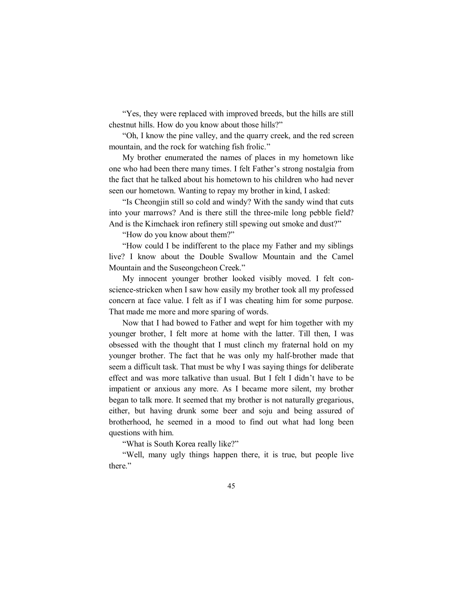"Yes, they were replaced with improved breeds, but the hills are still chestnut hills. How do you know about those hills?"

"Oh, I know the pine valley, and the quarry creek, and the red screen mountain, and the rock for watching fish frolic."

My brother enumerated the names of places in my hometown like one who had been there many times. I felt Father's strong nostalgia from the fact that he talked about his hometown to his children who had never seen our hometown. Wanting to repay my brother in kind, I asked:

"Is Cheongjin still so cold and windy? With the sandy wind that cuts into your marrows? And is there still the three-mile long pebble field? And is the Kimchaek iron refinery still spewing out smoke and dust?"

"How do you know about them?"

"How could I be indifferent to the place my Father and my siblings live? I know about the Double Swallow Mountain and the Camel Mountain and the Suseongcheon Creek."

My innocent younger brother looked visibly moved. I felt conscience-stricken when I saw how easily my brother took all my professed concern at face value. I felt as if I was cheating him for some purpose. That made me more and more sparing of words.

Now that I had bowed to Father and wept for him together with my younger brother, I felt more at home with the latter. Till then, I was obsessed with the thought that I must clinch my fraternal hold on my younger brother. The fact that he was only my half-brother made that seem a difficult task. That must be why I was saying things for deliberate effect and was more talkative than usual. But I felt I didn't have to be impatient or anxious any more. As I became more silent, my brother began to talk more. It seemed that my brother is not naturally gregarious, either, but having drunk some beer and soju and being assured of brotherhood, he seemed in a mood to find out what had long been questions with him.

"What is South Korea really like?"

"Well, many ugly things happen there, it is true, but people live there."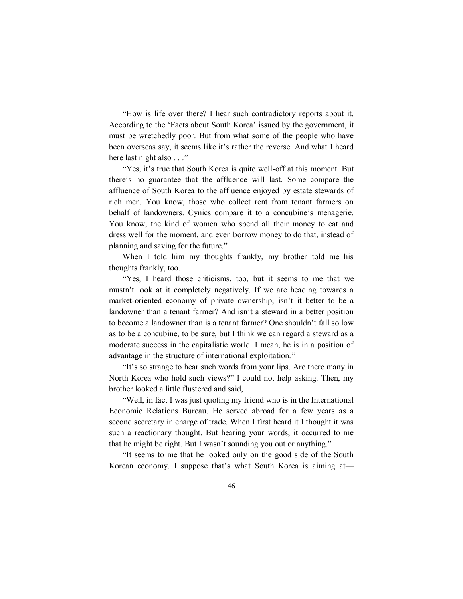"How is life over there? I hear such contradictory reports about it. According to the 'Facts about South Korea' issued by the government, it must be wretchedly poor. But from what some of the people who have been overseas say, it seems like it's rather the reverse. And what I heard here last night also . . ."

"Yes, it's true that South Korea is quite well-off at this moment. But there's no guarantee that the affluence will last. Some compare the affluence of South Korea to the affluence enjoyed by estate stewards of rich men. You know, those who collect rent from tenant farmers on behalf of landowners. Cynics compare it to a concubine's menagerie. You know, the kind of women who spend all their money to eat and dress well for the moment, and even borrow money to do that, instead of planning and saving for the future."

When I told him my thoughts frankly, my brother told me his thoughts frankly, too.

"Yes, I heard those criticisms, too, but it seems to me that we mustn't look at it completely negatively. If we are heading towards a market-oriented economy of private ownership, isn't it better to be a landowner than a tenant farmer? And isn't a steward in a better position to become a landowner than is a tenant farmer? One shouldn't fall so low as to be a concubine, to be sure, but I think we can regard a steward as a moderate success in the capitalistic world. I mean, he is in a position of advantage in the structure of international exploitation."

"It's so strange to hear such words from your lips. Are there many in North Korea who hold such views?" I could not help asking. Then, my brother looked a little flustered and said,

"Well, in fact I was just quoting my friend who is in the International Economic Relations Bureau. He served abroad for a few years as a second secretary in charge of trade. When I first heard it I thought it was such a reactionary thought. But hearing your words, it occurred to me that he might be right. But I wasn't sounding you out or anything."

"It seems to me that he looked only on the good side of the South Korean economy. I suppose that's what South Korea is aiming at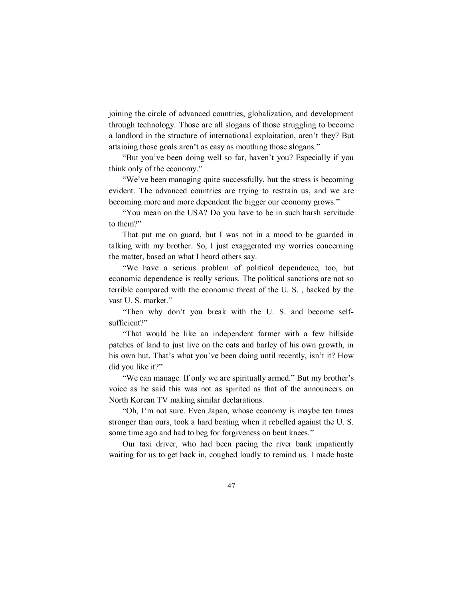joining the circle of advanced countries, globalization, and development through technology. Those are all slogans of those struggling to become a landlord in the structure of international exploitation, aren't they? But attaining those goals aren't as easy as mouthing those slogans."

"But you've been doing well so far, haven't you? Especially if you think only of the economy."

"We've been managing quite successfully, but the stress is becoming evident. The advanced countries are trying to restrain us, and we are becoming more and more dependent the bigger our economy grows."

"You mean on the USA? Do you have to be in such harsh servitude to them?"

That put me on guard, but I was not in a mood to be guarded in talking with my brother. So, I just exaggerated my worries concerning the matter, based on what I heard others say.

"We have a serious problem of political dependence, too, but economic dependence is really serious. The political sanctions are not so terrible compared with the economic threat of the U. S. , backed by the vast U. S. market."

"Then why don't you break with the U. S. and become selfsufficient?"

"That would be like an independent farmer with a few hillside patches of land to just live on the oats and barley of his own growth, in his own hut. That's what you've been doing until recently, isn't it? How did you like it?"

"We can manage. If only we are spiritually armed." But my brother's voice as he said this was not as spirited as that of the announcers on North Korean TV making similar declarations.

"Oh, I'm not sure. Even Japan, whose economy is maybe ten times stronger than ours, took a hard beating when it rebelled against the U. S. some time ago and had to beg for forgiveness on bent knees."

Our taxi driver, who had been pacing the river bank impatiently waiting for us to get back in, coughed loudly to remind us. I made haste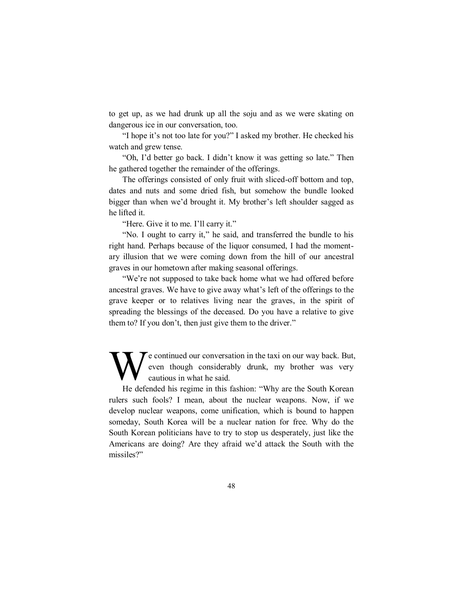to get up, as we had drunk up all the soju and as we were skating on dangerous ice in our conversation, too.

"I hope it's not too late for you?" I asked my brother. He checked his watch and grew tense.

"Oh, I'd better go back. I didn't know it was getting so late." Then he gathered together the remainder of the offerings.

The offerings consisted of only fruit with sliced-off bottom and top, dates and nuts and some dried fish, but somehow the bundle looked bigger than when we'd brought it. My brother's left shoulder sagged as he lifted it.

"Here. Give it to me. I'll carry it."

"No. I ought to carry it," he said, and transferred the bundle to his right hand. Perhaps because of the liquor consumed, I had the momentary illusion that we were coming down from the hill of our ancestral graves in our hometown after making seasonal offerings.

"We're not supposed to take back home what we had offered before ancestral graves. We have to give away what's left of the offerings to the grave keeper or to relatives living near the graves, in the spirit of spreading the blessings of the deceased. Do you have a relative to give them to? If you don't, then just give them to the driver."

e continued our conversation in the taxi on our way back. But, even though considerably drunk, my brother was very cautious in what he said. W

He defended his regime in this fashion: "Why are the South Korean rulers such fools? I mean, about the nuclear weapons. Now, if we develop nuclear weapons, come unification, which is bound to happen someday, South Korea will be a nuclear nation for free. Why do the South Korean politicians have to try to stop us desperately, just like the Americans are doing? Are they afraid we'd attack the South with the missiles?"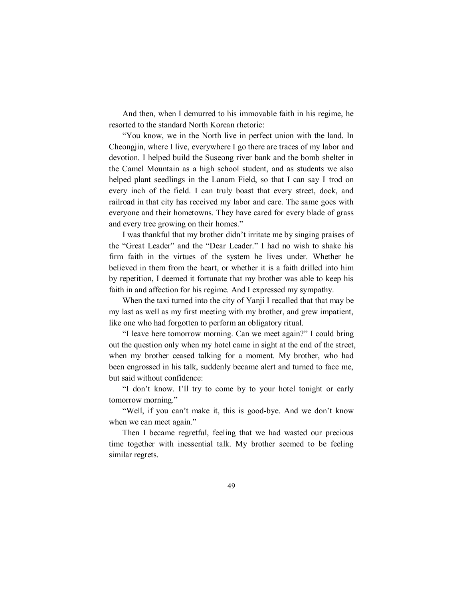And then, when I demurred to his immovable faith in his regime, he resorted to the standard North Korean rhetoric:

"You know, we in the North live in perfect union with the land. In Cheongjin, where I live, everywhere I go there are traces of my labor and devotion. I helped build the Suseong river bank and the bomb shelter in the Camel Mountain as a high school student, and as students we also helped plant seedlings in the Lanam Field, so that I can say I trod on every inch of the field. I can truly boast that every street, dock, and railroad in that city has received my labor and care. The same goes with everyone and their hometowns. They have cared for every blade of grass and every tree growing on their homes."

I was thankful that my brother didn't irritate me by singing praises of the "Great Leader" and the "Dear Leader." I had no wish to shake his firm faith in the virtues of the system he lives under. Whether he believed in them from the heart, or whether it is a faith drilled into him by repetition, I deemed it fortunate that my brother was able to keep his faith in and affection for his regime. And I expressed my sympathy.

When the taxi turned into the city of Yanji I recalled that that may be my last as well as my first meeting with my brother, and grew impatient, like one who had forgotten to perform an obligatory ritual.

"I leave here tomorrow morning. Can we meet again?" I could bring out the question only when my hotel came in sight at the end of the street, when my brother ceased talking for a moment. My brother, who had been engrossed in his talk, suddenly became alert and turned to face me, but said without confidence:

"I don't know. I'll try to come by to your hotel tonight or early tomorrow morning."

"Well, if you can't make it, this is good-bye. And we don't know when we can meet again."

Then I became regretful, feeling that we had wasted our precious time together with inessential talk. My brother seemed to be feeling similar regrets.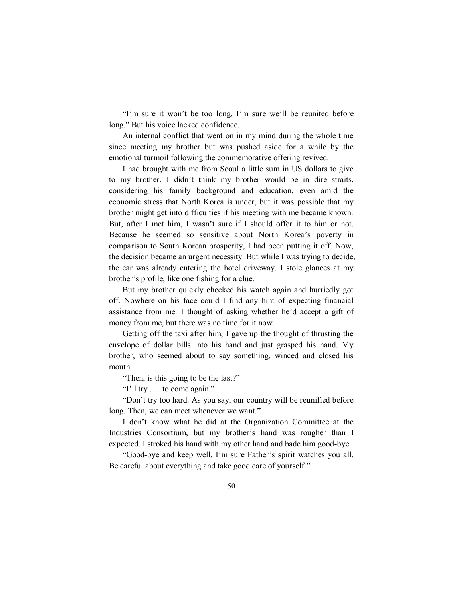"I'm sure it won't be too long. I'm sure we'll be reunited before long." But his voice lacked confidence.

An internal conflict that went on in my mind during the whole time since meeting my brother but was pushed aside for a while by the emotional turmoil following the commemorative offering revived.

I had brought with me from Seoul a little sum in US dollars to give to my brother. I didn't think my brother would be in dire straits, considering his family background and education, even amid the economic stress that North Korea is under, but it was possible that my brother might get into difficulties if his meeting with me became known. But, after I met him, I wasn't sure if I should offer it to him or not. Because he seemed so sensitive about North Korea's poverty in comparison to South Korean prosperity, I had been putting it off. Now, the decision became an urgent necessity. But while I was trying to decide, the car was already entering the hotel driveway. I stole glances at my brother's profile, like one fishing for a clue.

But my brother quickly checked his watch again and hurriedly got off. Nowhere on his face could I find any hint of expecting financial assistance from me. I thought of asking whether he'd accept a gift of money from me, but there was no time for it now.

Getting off the taxi after him, I gave up the thought of thrusting the envelope of dollar bills into his hand and just grasped his hand. My brother, who seemed about to say something, winced and closed his mouth.

"Then, is this going to be the last?"

"I'll try . . . to come again."

"Don't try too hard. As you say, our country will be reunified before long. Then, we can meet whenever we want."

I don't know what he did at the Organization Committee at the Industries Consortium, but my brother's hand was rougher than I expected. I stroked his hand with my other hand and bade him good-bye.

"Good-bye and keep well. I'm sure Father's spirit watches you all. Be careful about everything and take good care of yourself."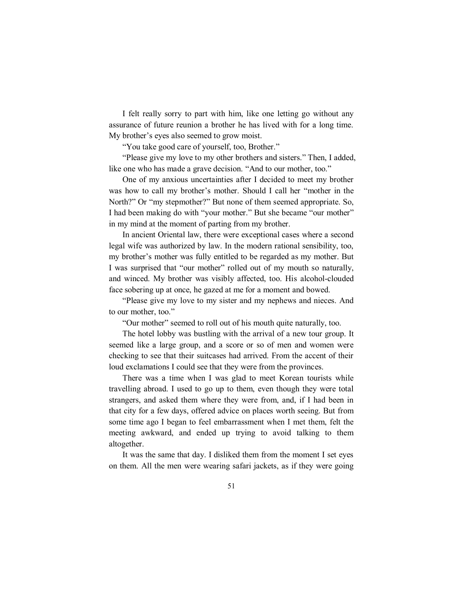I felt really sorry to part with him, like one letting go without any assurance of future reunion a brother he has lived with for a long time. My brother's eyes also seemed to grow moist.

"You take good care of yourself, too, Brother."

"Please give my love to my other brothers and sisters." Then, I added, like one who has made a grave decision. "And to our mother, too."

One of my anxious uncertainties after I decided to meet my brother was how to call my brother's mother. Should I call her "mother in the North?" Or "my stepmother?" But none of them seemed appropriate. So, I had been making do with "your mother." But she became "our mother" in my mind at the moment of parting from my brother.

In ancient Oriental law, there were exceptional cases where a second legal wife was authorized by law. In the modern rational sensibility, too, my brother's mother was fully entitled to be regarded as my mother. But I was surprised that "our mother" rolled out of my mouth so naturally, and winced. My brother was visibly affected, too. His alcohol-clouded face sobering up at once, he gazed at me for a moment and bowed.

"Please give my love to my sister and my nephews and nieces. And to our mother, too."

"Our mother" seemed to roll out of his mouth quite naturally, too.

The hotel lobby was bustling with the arrival of a new tour group. It seemed like a large group, and a score or so of men and women were checking to see that their suitcases had arrived. From the accent of their loud exclamations I could see that they were from the provinces.

There was a time when I was glad to meet Korean tourists while travelling abroad. I used to go up to them, even though they were total strangers, and asked them where they were from, and, if I had been in that city for a few days, offered advice on places worth seeing. But from some time ago I began to feel embarrassment when I met them, felt the meeting awkward, and ended up trying to avoid talking to them altogether.

It was the same that day. I disliked them from the moment I set eyes on them. All the men were wearing safari jackets, as if they were going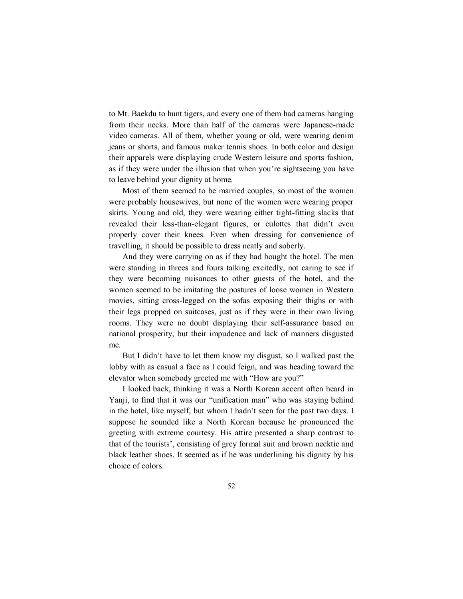to Mt. Baekdu to hunt tigers, and every one of them had cameras hanging from their necks. More than half of the cameras were Japanese-made video cameras. All of them, whether young or old, were wearing denim jeans or shorts, and famous maker tennis shoes. In both color and design their apparels were displaying crude Western leisure and sports fashion, as if they were under the illusion that when you're sightseeing you have to leave behind your dignity at home.

Most of them seemed to be married couples, so most of the women were probably housewives, but none of the women were wearing proper skirts. Young and old, they were wearing either tight-fitting slacks that revealed their less-than-elegant figures, or culottes that didn't even properly cover their knees. Even when dressing for convenience of travelling, it should be possible to dress neatly and soberly.

And they were carrying on as if they had bought the hotel. The men were standing in threes and fours talking excitedly, not caring to see if they were becoming nuisances to other guests of the hotel, and the women seemed to be imitating the postures of loose women in Western movies, sitting cross-legged on the sofas exposing their thighs or with their legs propped on suitcases, just as if they were in their own living rooms. They were no doubt displaying their self-assurance based on national prosperity, but their impudence and lack of manners disgusted me.

But I didn't have to let them know my disgust, so I walked past the lobby with as casual a face as I could feign, and was heading toward the elevator when somebody greeted me with "How are you?"

I looked back, thinking it was a North Korean accent often heard in Yanji, to find that it was our "unification man" who was staying behind in the hotel, like myself, but whom I hadn't seen for the past two days. I suppose he sounded like a North Korean because he pronounced the greeting with extreme courtesy. His attire presented a sharp contrast to that of the tourists', consisting of grey formal suit and brown necktie and black leather shoes. It seemed as if he was underlining his dignity by his choice of colors.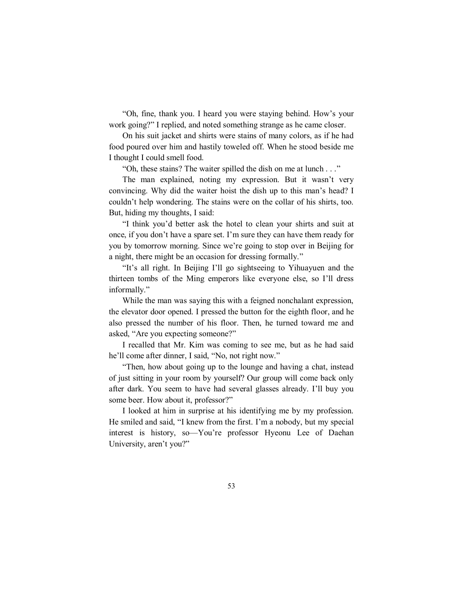"Oh, fine, thank you. I heard you were staying behind. How's your work going?" I replied, and noted something strange as he came closer.

On his suit jacket and shirts were stains of many colors, as if he had food poured over him and hastily toweled off. When he stood beside me I thought I could smell food.

"Oh, these stains? The waiter spilled the dish on me at lunch . . ."

The man explained, noting my expression. But it wasn't very convincing. Why did the waiter hoist the dish up to this man's head? I couldn't help wondering. The stains were on the collar of his shirts, too. But, hiding my thoughts, I said:

"I think you'd better ask the hotel to clean your shirts and suit at once, if you don't have a spare set. I'm sure they can have them ready for you by tomorrow morning. Since we're going to stop over in Beijing for a night, there might be an occasion for dressing formally."

"It's all right. In Beijing I'll go sightseeing to Yihuayuen and the thirteen tombs of the Ming emperors like everyone else, so I'll dress informally."

While the man was saying this with a feigned nonchalant expression, the elevator door opened. I pressed the button for the eighth floor, and he also pressed the number of his floor. Then, he turned toward me and asked, "Are you expecting someone?"

I recalled that Mr. Kim was coming to see me, but as he had said he'll come after dinner, I said, "No, not right now."

"Then, how about going up to the lounge and having a chat, instead of just sitting in your room by yourself? Our group will come back only after dark. You seem to have had several glasses already. I'll buy you some beer. How about it, professor?"

I looked at him in surprise at his identifying me by my profession. He smiled and said, "I knew from the first. I'm a nobody, but my special interest is history, so—You're professor Hyeonu Lee of Daehan University, aren't you?"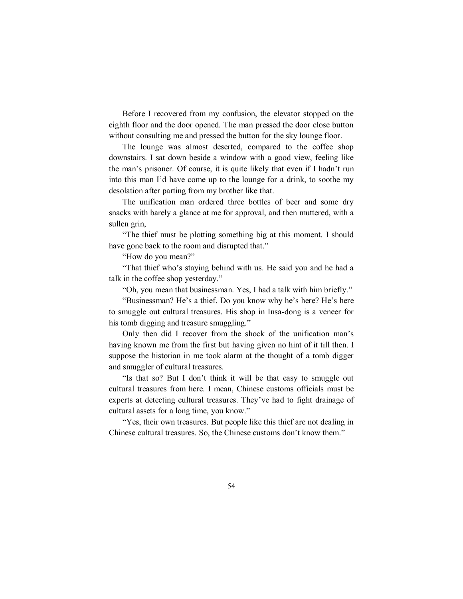Before I recovered from my confusion, the elevator stopped on the eighth floor and the door opened. The man pressed the door close button without consulting me and pressed the button for the sky lounge floor.

The lounge was almost deserted, compared to the coffee shop downstairs. I sat down beside a window with a good view, feeling like the man's prisoner. Of course, it is quite likely that even if I hadn't run into this man I'd have come up to the lounge for a drink, to soothe my desolation after parting from my brother like that.

The unification man ordered three bottles of beer and some dry snacks with barely a glance at me for approval, and then muttered, with a sullen grin,

"The thief must be plotting something big at this moment. I should have gone back to the room and disrupted that."

"How do you mean?"

"That thief who's staying behind with us. He said you and he had a talk in the coffee shop yesterday."

"Oh, you mean that businessman. Yes, I had a talk with him briefly."

"Businessman? He's a thief. Do you know why he's here? He's here to smuggle out cultural treasures. His shop in Insa-dong is a veneer for his tomb digging and treasure smuggling."

Only then did I recover from the shock of the unification man's having known me from the first but having given no hint of it till then. I suppose the historian in me took alarm at the thought of a tomb digger and smuggler of cultural treasures.

"Is that so? But I don't think it will be that easy to smuggle out cultural treasures from here. I mean, Chinese customs officials must be experts at detecting cultural treasures. They've had to fight drainage of cultural assets for a long time, you know."

"Yes, their own treasures. But people like this thief are not dealing in Chinese cultural treasures. So, the Chinese customs don't know them."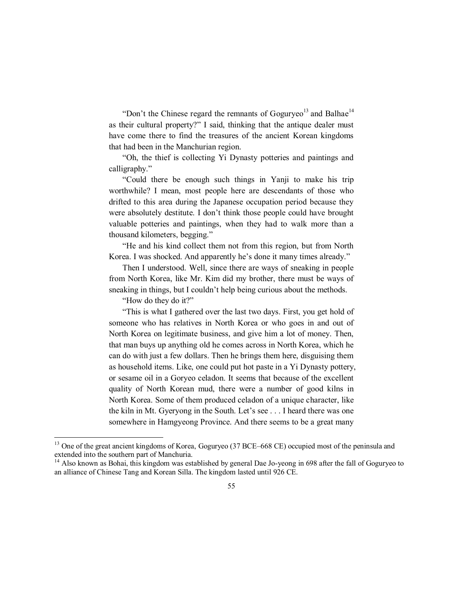"Don't the Chinese regard the remnants of Goguryeo<sup>13</sup> and Balhae<sup>14</sup> as their cultural property?" I said, thinking that the antique dealer must have come there to find the treasures of the ancient Korean kingdoms that had been in the Manchurian region.

"Oh, the thief is collecting Yi Dynasty potteries and paintings and calligraphy."

"Could there be enough such things in Yanji to make his trip worthwhile? I mean, most people here are descendants of those who drifted to this area during the Japanese occupation period because they were absolutely destitute. I don't think those people could have brought valuable potteries and paintings, when they had to walk more than a thousand kilometers, begging."

"He and his kind collect them not from this region, but from North Korea. I was shocked. And apparently he's done it many times already."

Then I understood. Well, since there are ways of sneaking in people from North Korea, like Mr. Kim did my brother, there must be ways of sneaking in things, but I couldn't help being curious about the methods.

"How do they do it?"

 $\overline{a}$ 

"This is what I gathered over the last two days. First, you get hold of someone who has relatives in North Korea or who goes in and out of North Korea on legitimate business, and give him a lot of money. Then, that man buys up anything old he comes across in North Korea, which he can do with just a few dollars. Then he brings them here, disguising them as household items. Like, one could put hot paste in a Yi Dynasty pottery, or sesame oil in a Goryeo celadon. It seems that because of the excellent quality of North Korean mud, there were a number of good kilns in North Korea. Some of them produced celadon of a unique character, like the kiln in Mt. Gyeryong in the South. Let's see . . . I heard there was one somewhere in Hamgyeong Province. And there seems to be a great many

<sup>&</sup>lt;sup>13</sup> One of the great ancient kingdoms of Korea, Goguryeo (37 BCE–668 CE) occupied most of the peninsula and extended into the southern part of Manchuria.

<sup>&</sup>lt;sup>14</sup> Also known as Bohai, this kingdom was established by general Dae Jo-yeong in 698 after the fall of Goguryeo to an alliance of Chinese Tang and Korean Silla. The kingdom lasted until 926 CE.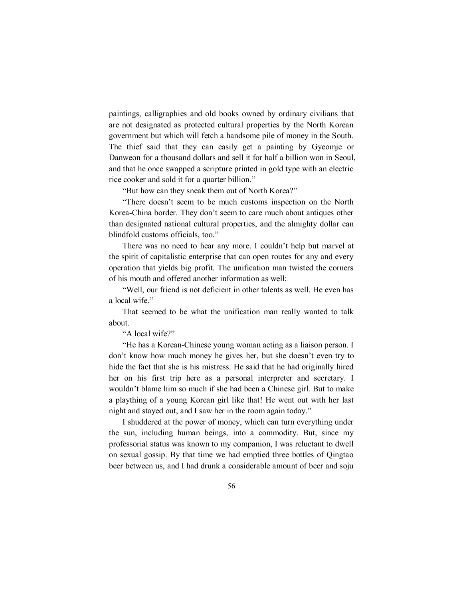paintings, calligraphies and old books owned by ordinary civilians that are not designated as protected cultural properties by the North Korean government but which will fetch a handsome pile of money in the South. The thief said that they can easily get a painting by Gyeomje or Danweon for a thousand dollars and sell it for half a billion won in Seoul, and that he once swapped a scripture printed in gold type with an electric rice cooker and sold it for a quarter billion."

"But how can they sneak them out of North Korea?"

"There doesn't seem to be much customs inspection on the North Korea-China border. They don't seem to care much about antiques other than designated national cultural properties, and the almighty dollar can blindfold customs officials, too."

There was no need to hear any more. I couldn't help but marvel at the spirit of capitalistic enterprise that can open routes for any and every operation that yields big profit. The unification man twisted the corners of his mouth and offered another information as well:

"Well, our friend is not deficient in other talents as well. He even has a local wife."

That seemed to be what the unification man really wanted to talk about.

"A local wife?"

"He has a Korean-Chinese young woman acting as a liaison person. I don't know how much money he gives her, but she doesn't even try to hide the fact that she is his mistress. He said that he had originally hired her on his first trip here as a personal interpreter and secretary. I wouldn't blame him so much if she had been a Chinese girl. But to make a plaything of a young Korean girl like that! He went out with her last night and stayed out, and I saw her in the room again today."

I shuddered at the power of money, which can turn everything under the sun, including human beings, into a commodity. But, since my professorial status was known to my companion, I was reluctant to dwell on sexual gossip. By that time we had emptied three bottles of Qingtao beer between us, and I had drunk a considerable amount of beer and soju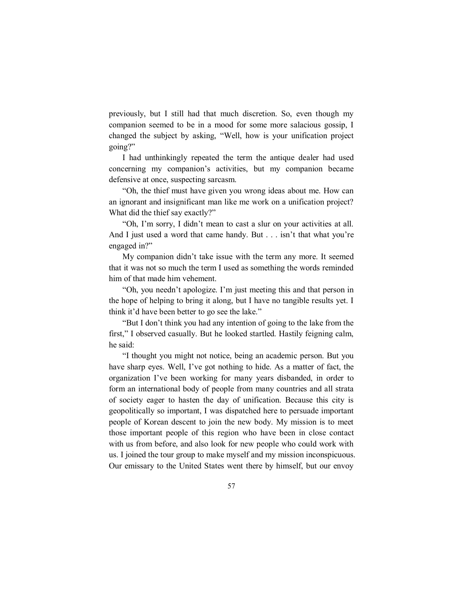previously, but I still had that much discretion. So, even though my companion seemed to be in a mood for some more salacious gossip, I changed the subject by asking, "Well, how is your unification project going?"

I had unthinkingly repeated the term the antique dealer had used concerning my companion's activities, but my companion became defensive at once, suspecting sarcasm.

"Oh, the thief must have given you wrong ideas about me. How can an ignorant and insignificant man like me work on a unification project? What did the thief say exactly?"

"Oh, I'm sorry, I didn't mean to cast a slur on your activities at all. And I just used a word that came handy. But . . . isn't that what you're engaged in?"

My companion didn't take issue with the term any more. It seemed that it was not so much the term I used as something the words reminded him of that made him vehement.

"Oh, you needn't apologize. I'm just meeting this and that person in the hope of helping to bring it along, but I have no tangible results yet. I think it'd have been better to go see the lake."

"But I don't think you had any intention of going to the lake from the first," I observed casually. But he looked startled. Hastily feigning calm, he said:

"I thought you might not notice, being an academic person. But you have sharp eyes. Well, I've got nothing to hide. As a matter of fact, the organization I've been working for many years disbanded, in order to form an international body of people from many countries and all strata of society eager to hasten the day of unification. Because this city is geopolitically so important, I was dispatched here to persuade important people of Korean descent to join the new body. My mission is to meet those important people of this region who have been in close contact with us from before, and also look for new people who could work with us. I joined the tour group to make myself and my mission inconspicuous. Our emissary to the United States went there by himself, but our envoy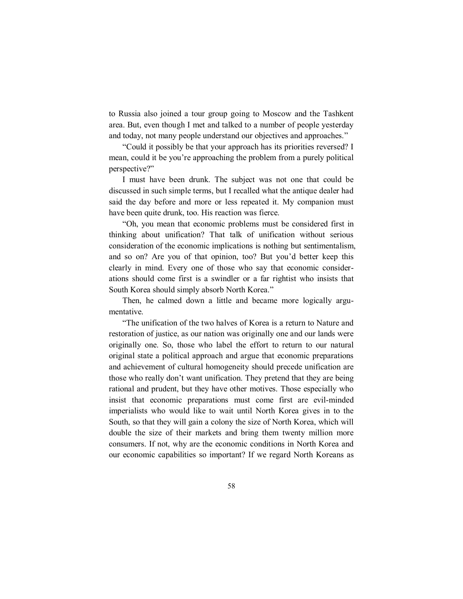to Russia also joined a tour group going to Moscow and the Tashkent area. But, even though I met and talked to a number of people yesterday and today, not many people understand our objectives and approaches."

"Could it possibly be that your approach has its priorities reversed? I mean, could it be you're approaching the problem from a purely political perspective?"

I must have been drunk. The subject was not one that could be discussed in such simple terms, but I recalled what the antique dealer had said the day before and more or less repeated it. My companion must have been quite drunk, too. His reaction was fierce.

"Oh, you mean that economic problems must be considered first in thinking about unification? That talk of unification without serious consideration of the economic implications is nothing but sentimentalism, and so on? Are you of that opinion, too? But you'd better keep this clearly in mind. Every one of those who say that economic considerations should come first is a swindler or a far rightist who insists that South Korea should simply absorb North Korea."

Then, he calmed down a little and became more logically argumentative.

"The unification of the two halves of Korea is a return to Nature and restoration of justice, as our nation was originally one and our lands were originally one. So, those who label the effort to return to our natural original state a political approach and argue that economic preparations and achievement of cultural homogeneity should precede unification are those who really don't want unification. They pretend that they are being rational and prudent, but they have other motives. Those especially who insist that economic preparations must come first are evil-minded imperialists who would like to wait until North Korea gives in to the South, so that they will gain a colony the size of North Korea, which will double the size of their markets and bring them twenty million more consumers. If not, why are the economic conditions in North Korea and our economic capabilities so important? If we regard North Koreans as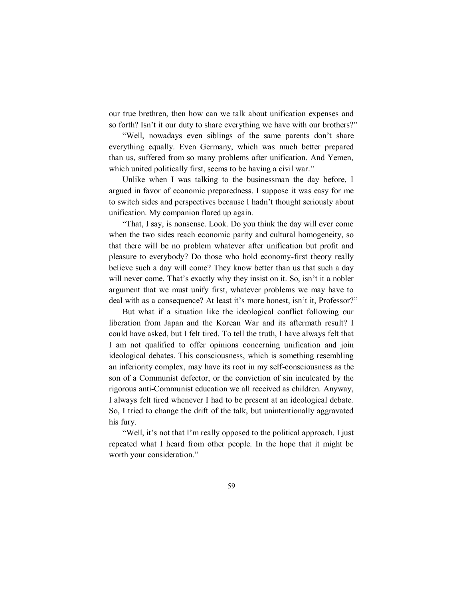our true brethren, then how can we talk about unification expenses and so forth? Isn't it our duty to share everything we have with our brothers?"

"Well, nowadays even siblings of the same parents don't share everything equally. Even Germany, which was much better prepared than us, suffered from so many problems after unification. And Yemen, which united politically first, seems to be having a civil war."

Unlike when I was talking to the businessman the day before, I argued in favor of economic preparedness. I suppose it was easy for me to switch sides and perspectives because I hadn't thought seriously about unification. My companion flared up again.

"That, I say, is nonsense. Look. Do you think the day will ever come when the two sides reach economic parity and cultural homogeneity, so that there will be no problem whatever after unification but profit and pleasure to everybody? Do those who hold economy-first theory really believe such a day will come? They know better than us that such a day will never come. That's exactly why they insist on it. So, isn't it a nobler argument that we must unify first, whatever problems we may have to deal with as a consequence? At least it's more honest, isn't it, Professor?"

But what if a situation like the ideological conflict following our liberation from Japan and the Korean War and its aftermath result? I could have asked, but I felt tired. To tell the truth, I have always felt that I am not qualified to offer opinions concerning unification and join ideological debates. This consciousness, which is something resembling an inferiority complex, may have its root in my self-consciousness as the son of a Communist defector, or the conviction of sin inculcated by the rigorous anti-Communist education we all received as children. Anyway, I always felt tired whenever I had to be present at an ideological debate. So, I tried to change the drift of the talk, but unintentionally aggravated his fury.

"Well, it's not that I'm really opposed to the political approach. I just repeated what I heard from other people. In the hope that it might be worth your consideration."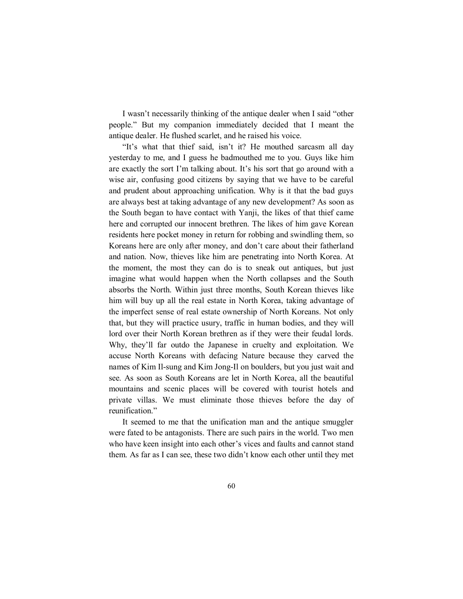I wasn't necessarily thinking of the antique dealer when I said "other people." But my companion immediately decided that I meant the antique dealer. He flushed scarlet, and he raised his voice.

"It's what that thief said, isn't it? He mouthed sarcasm all day yesterday to me, and I guess he badmouthed me to you. Guys like him are exactly the sort I'm talking about. It's his sort that go around with a wise air, confusing good citizens by saying that we have to be careful and prudent about approaching unification. Why is it that the bad guys are always best at taking advantage of any new development? As soon as the South began to have contact with Yanji, the likes of that thief came here and corrupted our innocent brethren. The likes of him gave Korean residents here pocket money in return for robbing and swindling them, so Koreans here are only after money, and don't care about their fatherland and nation. Now, thieves like him are penetrating into North Korea. At the moment, the most they can do is to sneak out antiques, but just imagine what would happen when the North collapses and the South absorbs the North. Within just three months, South Korean thieves like him will buy up all the real estate in North Korea, taking advantage of the imperfect sense of real estate ownership of North Koreans. Not only that, but they will practice usury, traffic in human bodies, and they will lord over their North Korean brethren as if they were their feudal lords. Why, they'll far outdo the Japanese in cruelty and exploitation. We accuse North Koreans with defacing Nature because they carved the names of Kim Il-sung and Kim Jong-Il on boulders, but you just wait and see. As soon as South Koreans are let in North Korea, all the beautiful mountains and scenic places will be covered with tourist hotels and private villas. We must eliminate those thieves before the day of reunification."

It seemed to me that the unification man and the antique smuggler were fated to be antagonists. There are such pairs in the world. Two men who have keen insight into each other's vices and faults and cannot stand them. As far as I can see, these two didn't know each other until they met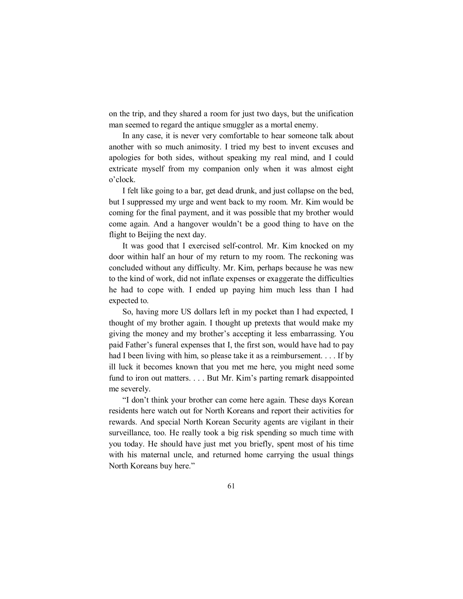on the trip, and they shared a room for just two days, but the unification man seemed to regard the antique smuggler as a mortal enemy.

In any case, it is never very comfortable to hear someone talk about another with so much animosity. I tried my best to invent excuses and apologies for both sides, without speaking my real mind, and I could extricate myself from my companion only when it was almost eight o'clock.

I felt like going to a bar, get dead drunk, and just collapse on the bed, but I suppressed my urge and went back to my room. Mr. Kim would be coming for the final payment, and it was possible that my brother would come again. And a hangover wouldn't be a good thing to have on the flight to Beijing the next day.

It was good that I exercised self-control. Mr. Kim knocked on my door within half an hour of my return to my room. The reckoning was concluded without any difficulty. Mr. Kim, perhaps because he was new to the kind of work, did not inflate expenses or exaggerate the difficulties he had to cope with. I ended up paying him much less than I had expected to.

So, having more US dollars left in my pocket than I had expected, I thought of my brother again. I thought up pretexts that would make my giving the money and my brother's accepting it less embarrassing. You paid Father's funeral expenses that I, the first son, would have had to pay had I been living with him, so please take it as a reimbursement. . . . If by ill luck it becomes known that you met me here, you might need some fund to iron out matters. . . . But Mr. Kim's parting remark disappointed me severely.

"I don't think your brother can come here again. These days Korean residents here watch out for North Koreans and report their activities for rewards. And special North Korean Security agents are vigilant in their surveillance, too. He really took a big risk spending so much time with you today. He should have just met you briefly, spent most of his time with his maternal uncle, and returned home carrying the usual things North Koreans buy here."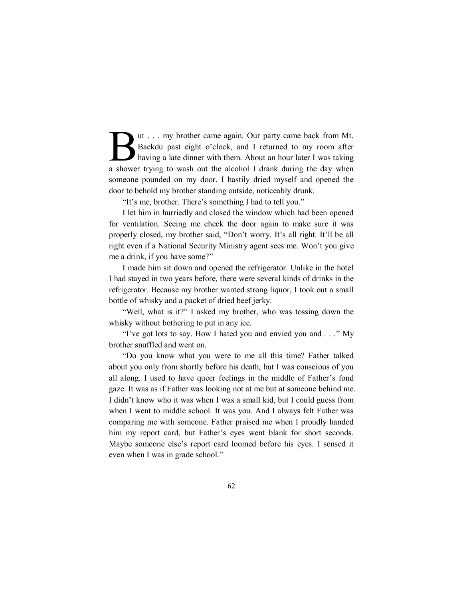ut . . . my brother came again. Our party came back from Mt. Baekdu past eight o'clock, and I returned to my room after having a late dinner with them. About an hour later I was taking a shower trying to wash out the alcohol I drank during the day when someone pounded on my door. I hastily dried myself and opened the door to behold my brother standing outside, noticeably drunk.  $\mathbf{B}$ 

"It's me, brother. There's something I had to tell you."

I let him in hurriedly and closed the window which had been opened for ventilation. Seeing me check the door again to make sure it was properly closed, my brother said, "Don't worry. It's all right. It'll be all right even if a National Security Ministry agent sees me. Won't you give me a drink, if you have some?"

I made him sit down and opened the refrigerator. Unlike in the hotel I had stayed in two years before, there were several kinds of drinks in the refrigerator. Because my brother wanted strong liquor, I took out a small bottle of whisky and a packet of dried beef jerky.

"Well, what is it?" I asked my brother, who was tossing down the whisky without bothering to put in any ice.

"I've got lots to say. How I hated you and envied you and . . ." My brother snuffled and went on.

"Do you know what you were to me all this time? Father talked about you only from shortly before his death, but I was conscious of you all along. I used to have queer feelings in the middle of Father's fond gaze. It was as if Father was looking not at me but at someone behind me. I didn't know who it was when I was a small kid, but I could guess from when I went to middle school. It was you. And I always felt Father was comparing me with someone. Father praised me when I proudly handed him my report card, but Father's eyes went blank for short seconds. Maybe someone else's report card loomed before his eyes. I sensed it even when I was in grade school."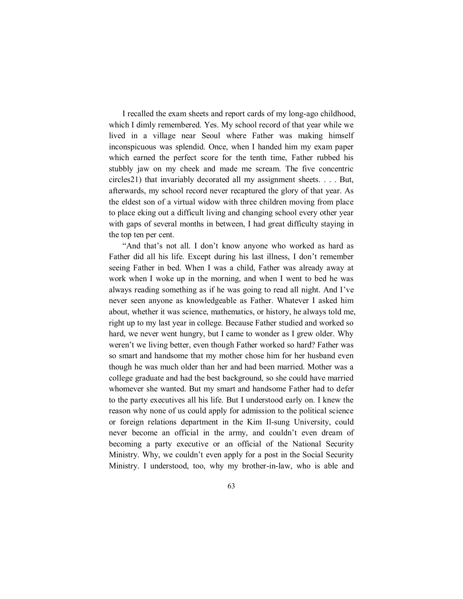I recalled the exam sheets and report cards of my long-ago childhood, which I dimly remembered. Yes. My school record of that year while we lived in a village near Seoul where Father was making himself inconspicuous was splendid. Once, when I handed him my exam paper which earned the perfect score for the tenth time, Father rubbed his stubbly jaw on my cheek and made me scream. The five concentric circles21) that invariably decorated all my assignment sheets. . . . But, afterwards, my school record never recaptured the glory of that year. As the eldest son of a virtual widow with three children moving from place to place eking out a difficult living and changing school every other year with gaps of several months in between, I had great difficulty staying in the top ten per cent.

"And that's not all. I don't know anyone who worked as hard as Father did all his life. Except during his last illness, I don't remember seeing Father in bed. When I was a child, Father was already away at work when I woke up in the morning, and when I went to bed he was always reading something as if he was going to read all night. And I've never seen anyone as knowledgeable as Father. Whatever I asked him about, whether it was science, mathematics, or history, he always told me, right up to my last year in college. Because Father studied and worked so hard, we never went hungry, but I came to wonder as I grew older. Why weren't we living better, even though Father worked so hard? Father was so smart and handsome that my mother chose him for her husband even though he was much older than her and had been married. Mother was a college graduate and had the best background, so she could have married whomever she wanted. But my smart and handsome Father had to defer to the party executives all his life. But I understood early on. I knew the reason why none of us could apply for admission to the political science or foreign relations department in the Kim Il-sung University, could never become an official in the army, and couldn't even dream of becoming a party executive or an official of the National Security Ministry. Why, we couldn't even apply for a post in the Social Security Ministry. I understood, too, why my brother-in-law, who is able and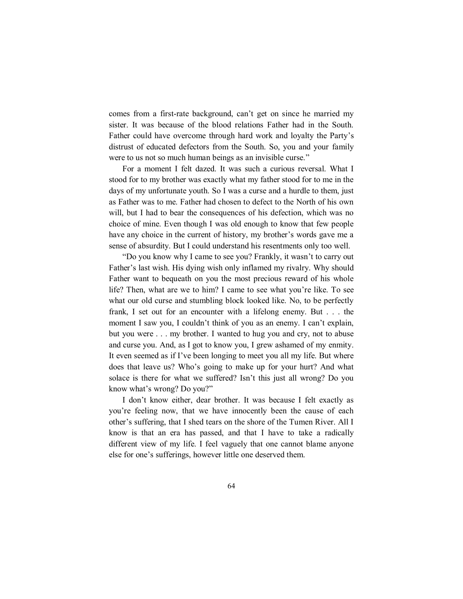comes from a first-rate background, can't get on since he married my sister. It was because of the blood relations Father had in the South. Father could have overcome through hard work and loyalty the Party's distrust of educated defectors from the South. So, you and your family were to us not so much human beings as an invisible curse."

For a moment I felt dazed. It was such a curious reversal. What I stood for to my brother was exactly what my father stood for to me in the days of my unfortunate youth. So I was a curse and a hurdle to them, just as Father was to me. Father had chosen to defect to the North of his own will, but I had to bear the consequences of his defection, which was no choice of mine. Even though I was old enough to know that few people have any choice in the current of history, my brother's words gave me a sense of absurdity. But I could understand his resentments only too well.

"Do you know why I came to see you? Frankly, it wasn't to carry out Father's last wish. His dying wish only inflamed my rivalry. Why should Father want to bequeath on you the most precious reward of his whole life? Then, what are we to him? I came to see what you're like. To see what our old curse and stumbling block looked like. No, to be perfectly frank, I set out for an encounter with a lifelong enemy. But . . . the moment I saw you, I couldn't think of you as an enemy. I can't explain, but you were . . . my brother. I wanted to hug you and cry, not to abuse and curse you. And, as I got to know you, I grew ashamed of my enmity. It even seemed as if I've been longing to meet you all my life. But where does that leave us? Who's going to make up for your hurt? And what solace is there for what we suffered? Isn't this just all wrong? Do you know what's wrong? Do you?"

I don't know either, dear brother. It was because I felt exactly as you're feeling now, that we have innocently been the cause of each other's suffering, that I shed tears on the shore of the Tumen River. All I know is that an era has passed, and that I have to take a radically different view of my life. I feel vaguely that one cannot blame anyone else for one's sufferings, however little one deserved them.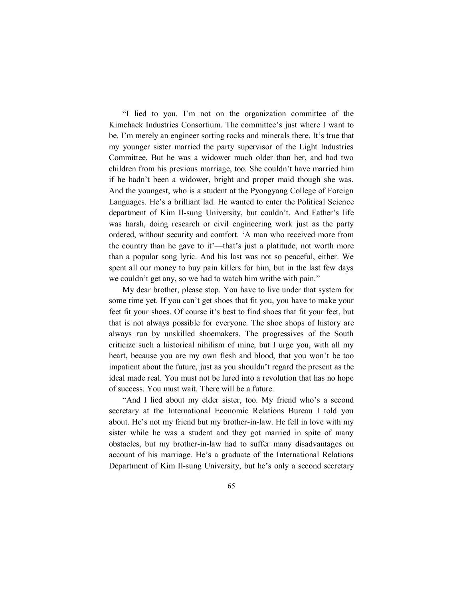"I lied to you. I'm not on the organization committee of the Kimchaek Industries Consortium. The committee's just where I want to be. I'm merely an engineer sorting rocks and minerals there. It's true that my younger sister married the party supervisor of the Light Industries Committee. But he was a widower much older than her, and had two children from his previous marriage, too. She couldn't have married him if he hadn't been a widower, bright and proper maid though she was. And the youngest, who is a student at the Pyongyang College of Foreign Languages. He's a brilliant lad. He wanted to enter the Political Science department of Kim Il-sung University, but couldn't. And Father's life was harsh, doing research or civil engineering work just as the party ordered, without security and comfort. 'A man who received more from the country than he gave to it'—that's just a platitude, not worth more than a popular song lyric. And his last was not so peaceful, either. We spent all our money to buy pain killers for him, but in the last few days we couldn't get any, so we had to watch him writhe with pain."

My dear brother, please stop. You have to live under that system for some time yet. If you can't get shoes that fit you, you have to make your feet fit your shoes. Of course it's best to find shoes that fit your feet, but that is not always possible for everyone. The shoe shops of history are always run by unskilled shoemakers. The progressives of the South criticize such a historical nihilism of mine, but I urge you, with all my heart, because you are my own flesh and blood, that you won't be too impatient about the future, just as you shouldn't regard the present as the ideal made real. You must not be lured into a revolution that has no hope of success. You must wait. There will be a future.

"And I lied about my elder sister, too. My friend who's a second secretary at the International Economic Relations Bureau I told you about. He's not my friend but my brother-in-law. He fell in love with my sister while he was a student and they got married in spite of many obstacles, but my brother-in-law had to suffer many disadvantages on account of his marriage. He's a graduate of the International Relations Department of Kim Il-sung University, but he's only a second secretary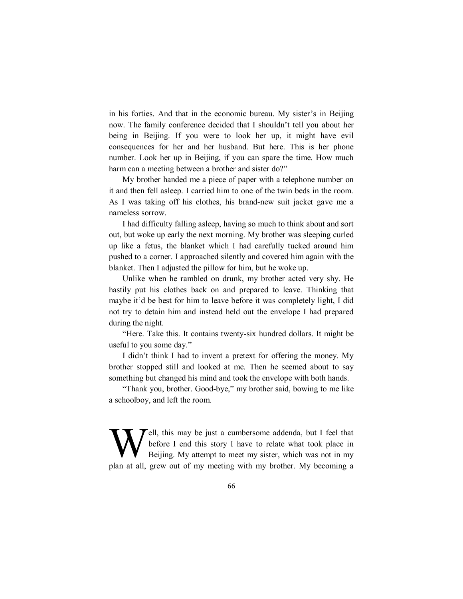in his forties. And that in the economic bureau. My sister's in Beijing now. The family conference decided that I shouldn't tell you about her being in Beijing. If you were to look her up, it might have evil consequences for her and her husband. But here. This is her phone number. Look her up in Beijing, if you can spare the time. How much harm can a meeting between a brother and sister do?"

My brother handed me a piece of paper with a telephone number on it and then fell asleep. I carried him to one of the twin beds in the room. As I was taking off his clothes, his brand-new suit jacket gave me a nameless sorrow.

I had difficulty falling asleep, having so much to think about and sort out, but woke up early the next morning. My brother was sleeping curled up like a fetus, the blanket which I had carefully tucked around him pushed to a corner. I approached silently and covered him again with the blanket. Then I adjusted the pillow for him, but he woke up.

Unlike when he rambled on drunk, my brother acted very shy. He hastily put his clothes back on and prepared to leave. Thinking that maybe it'd be best for him to leave before it was completely light, I did not try to detain him and instead held out the envelope I had prepared during the night.

"Here. Take this. It contains twenty-six hundred dollars. It might be useful to you some day."

I didn't think I had to invent a pretext for offering the money. My brother stopped still and looked at me. Then he seemed about to say something but changed his mind and took the envelope with both hands.

"Thank you, brother. Good-bye," my brother said, bowing to me like a schoolboy, and left the room.

Fell, this may be just a cumbersome addenda, but I feel that before I end this story I have to relate what took place in Beijing. My attempt to meet my sister, which was not in my plan at all, grew out of my meeting with my brother. My becoming a W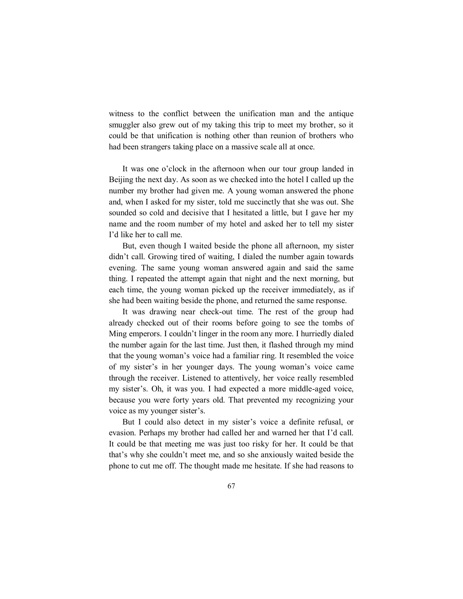witness to the conflict between the unification man and the antique smuggler also grew out of my taking this trip to meet my brother, so it could be that unification is nothing other than reunion of brothers who had been strangers taking place on a massive scale all at once.

It was one o'clock in the afternoon when our tour group landed in Beijing the next day. As soon as we checked into the hotel I called up the number my brother had given me. A young woman answered the phone and, when I asked for my sister, told me succinctly that she was out. She sounded so cold and decisive that I hesitated a little, but I gave her my name and the room number of my hotel and asked her to tell my sister I'd like her to call me.

But, even though I waited beside the phone all afternoon, my sister didn't call. Growing tired of waiting, I dialed the number again towards evening. The same young woman answered again and said the same thing. I repeated the attempt again that night and the next morning, but each time, the young woman picked up the receiver immediately, as if she had been waiting beside the phone, and returned the same response.

It was drawing near check-out time. The rest of the group had already checked out of their rooms before going to see the tombs of Ming emperors. I couldn't linger in the room any more. I hurriedly dialed the number again for the last time. Just then, it flashed through my mind that the young woman's voice had a familiar ring. It resembled the voice of my sister's in her younger days. The young woman's voice came through the receiver. Listened to attentively, her voice really resembled my sister's. Oh, it was you. I had expected a more middle-aged voice, because you were forty years old. That prevented my recognizing your voice as my younger sister's.

But I could also detect in my sister's voice a definite refusal, or evasion. Perhaps my brother had called her and warned her that I'd call. It could be that meeting me was just too risky for her. It could be that that's why she couldn't meet me, and so she anxiously waited beside the phone to cut me off. The thought made me hesitate. If she had reasons to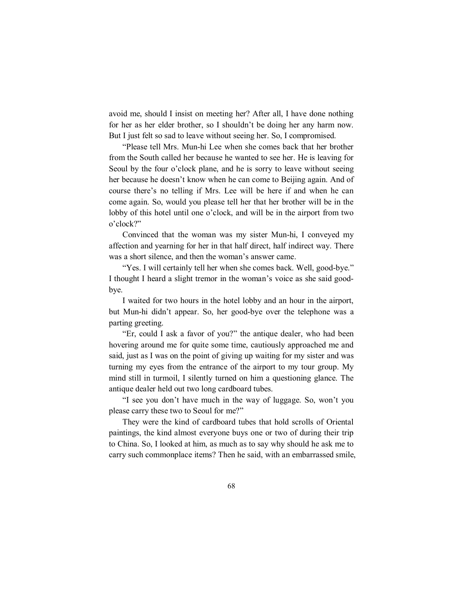avoid me, should I insist on meeting her? After all, I have done nothing for her as her elder brother, so I shouldn't be doing her any harm now. But I just felt so sad to leave without seeing her. So, I compromised.

"Please tell Mrs. Mun-hi Lee when she comes back that her brother from the South called her because he wanted to see her. He is leaving for Seoul by the four o'clock plane, and he is sorry to leave without seeing her because he doesn't know when he can come to Beijing again. And of course there's no telling if Mrs. Lee will be here if and when he can come again. So, would you please tell her that her brother will be in the lobby of this hotel until one o'clock, and will be in the airport from two o'clock?"

Convinced that the woman was my sister Mun-hi, I conveyed my affection and yearning for her in that half direct, half indirect way. There was a short silence, and then the woman's answer came.

"Yes. I will certainly tell her when she comes back. Well, good-bye." I thought I heard a slight tremor in the woman's voice as she said goodbye.

I waited for two hours in the hotel lobby and an hour in the airport, but Mun-hi didn't appear. So, her good-bye over the telephone was a parting greeting.

"Er, could I ask a favor of you?" the antique dealer, who had been hovering around me for quite some time, cautiously approached me and said, just as I was on the point of giving up waiting for my sister and was turning my eyes from the entrance of the airport to my tour group. My mind still in turmoil, I silently turned on him a questioning glance. The antique dealer held out two long cardboard tubes.

"I see you don't have much in the way of luggage. So, won't you please carry these two to Seoul for me?"

They were the kind of cardboard tubes that hold scrolls of Oriental paintings, the kind almost everyone buys one or two of during their trip to China. So, I looked at him, as much as to say why should he ask me to carry such commonplace items? Then he said, with an embarrassed smile,